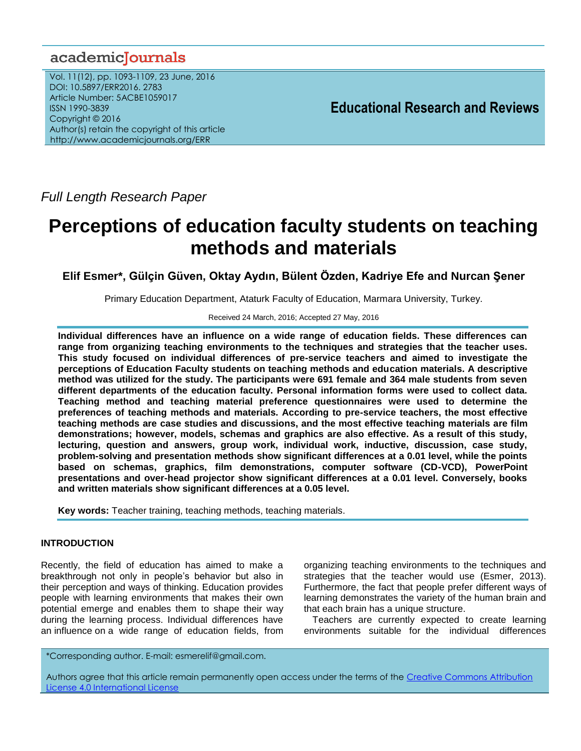# academiclournals

Vol. 11(12), pp. 1093-1109, 23 June, 2016 DOI: 10.5897/ERR2016. 2783 Article Number: 5ACBE1059017 ISSN 1990-3839 Copyright © 2016 Author(s) retain the copyright of this article http://www.academicjournals.org/ERR

**Educational Research and Reviews**

*Full Length Research Paper*

# **Perceptions of education faculty students on teaching methods and materials**

**Elif Esmer\*, Gülçin Güven, Oktay Aydın, Bülent Özden, Kadriye Efe and Nurcan Şener**

Primary Education Department, Ataturk Faculty of Education, Marmara University, Turkey.

# Received 24 March, 2016; Accepted 27 May, 2016

**Individual differences have an influence on a wide range of education fields. These differences can range from organizing teaching environments to the techniques and strategies that the teacher uses. This study focused on individual differences of pre-service teachers and aimed to investigate the perceptions of Education Faculty students on teaching methods and education materials. A descriptive method was utilized for the study. The participants were 691 female and 364 male students from seven different departments of the education faculty. Personal information forms were used to collect data. Teaching method and teaching material preference questionnaires were used to determine the preferences of teaching methods and materials. According to pre-service teachers, the most effective teaching methods are case studies and discussions, and the most effective teaching materials are film demonstrations; however, models, schemas and graphics are also effective. As a result of this study, lecturing, question and answers, group work, individual work, inductive, discussion, case study, problem-solving and presentation methods show significant differences at a 0.01 level, while the points based on schemas, graphics, film demonstrations, computer software (CD-VCD), PowerPoint presentations and over-head projector show significant differences at a 0.01 level. Conversely, books and written materials show significant differences at a 0.05 level.**

**Key words:** Teacher training, teaching methods, teaching materials.

# **INTRODUCTION**

Recently, the field of education has aimed to make a breakthrough not only in people's behavior but also in their perception and ways of thinking. Education provides people with learning environments that makes their own potential emerge and enables them to shape their way during the learning process. Individual differences have an influence on a wide range of education fields, from organizing teaching environments to the techniques and strategies that the teacher would use (Esmer, 2013). Furthermore, the fact that people prefer different ways of learning demonstrates the variety of the human brain and that each brain has a unique structure.

Teachers are currently expected to create learning environments suitable for the individual differences

\*Corresponding author. E-mail: esmerelif@gmail.com.

Authors agree that this article remain permanently open access under the terms of the Creative Commons Attribution [License 4.0 International License](file://192.168.1.24/reading/Arts%20and%20Education/ERR/2014/sept/read/Correction%20Pdf%201/ERR-17.04.14-1816/Publication/Creative%20Co)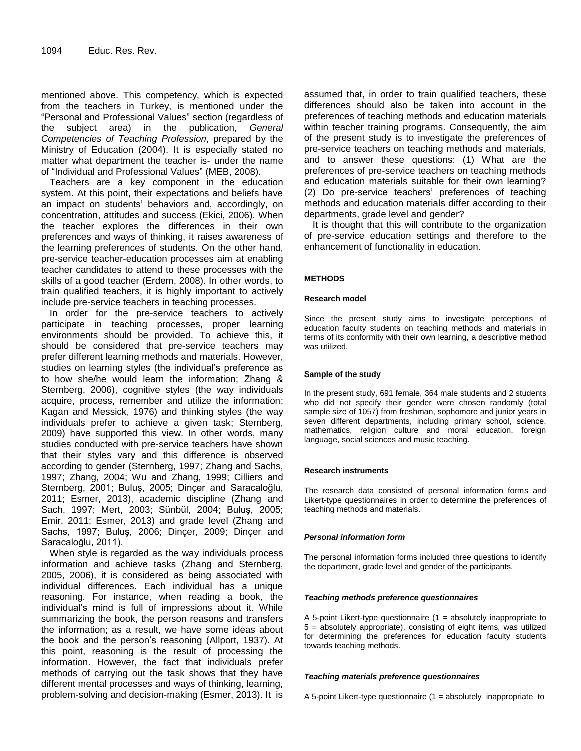mentioned above. This competency, which is expected from the teachers in Turkey, is mentioned under the ―Personal and Professional Values‖ section (regardless of the subject area) in the publication, *General Competencies of Teaching Profession*, prepared by the Ministry of Education (2004). It is especially stated no matter what department the teacher is- under the name of "Individual and Professional Values" (MEB, 2008).

Teachers are a key component in the education system. At this point, their expectations and beliefs have an impact on students' behaviors and, accordingly, on concentration, attitudes and success (Ekici, 2006). When the teacher explores the differences in their own preferences and ways of thinking, it raises awareness of the learning preferences of students. On the other hand, pre-service teacher-education processes aim at enabling teacher candidates to attend to these processes with the skills of a good teacher (Erdem, 2008). In other words, to train qualified teachers, it is highly important to actively include pre-service teachers in teaching processes.

In order for the pre-service teachers to actively participate in teaching processes, proper learning environments should be provided. To achieve this, it should be considered that pre-service teachers may prefer different learning methods and materials. However, studies on learning styles (the individual's preference as to how she/he would learn the information; Zhang & Sternberg, 2006), cognitive styles (the way individuals acquire, process, remember and utilize the information; Kagan and Messick, 1976) and thinking styles (the way individuals prefer to achieve a given task; Sternberg, 2009) have supported this view. In other words, many studies conducted with pre-service teachers have shown that their styles vary and this difference is observed according to gender (Sternberg, 1997; Zhang and Sachs, 1997; Zhang, 2004; Wu and Zhang, 1999; Cilliers and Sternberg, 2001; Buluş, 2005; Dinçer and Saracaloğlu, 2011; Esmer, 2013), academic discipline (Zhang and Sach, 1997; Mert, 2003; Sünbül, 2004; Buluş, 2005; Emir, 2011; Esmer, 2013) and grade level (Zhang and Sachs, 1997; Buluş, 2006; Dinçer, 2009; Dinçer and Saracaloğlu, 2011).

When style is regarded as the way individuals process information and achieve tasks (Zhang and Sternberg, 2005, 2006), it is considered as being associated with individual differences. Each individual has a unique reasoning. For instance, when reading a book, the individual's mind is full of impressions about it. While summarizing the book, the person reasons and transfers the information; as a result, we have some ideas about the book and the person's reasoning (Allport, 1937). At this point, reasoning is the result of processing the information. However, the fact that individuals prefer methods of carrying out the task shows that they have different mental processes and ways of thinking, learning, problem-solving and decision-making (Esmer, 2013). It is assumed that, in order to train qualified teachers, these differences should also be taken into account in the preferences of teaching methods and education materials within teacher training programs. Consequently, the aim of the present study is to investigate the preferences of pre-service teachers on teaching methods and materials, and to answer these questions: (1) What are the preferences of pre-service teachers on teaching methods and education materials suitable for their own learning? (2) Do pre-service teachers' preferences of teaching methods and education materials differ according to their departments, grade level and gender?

It is thought that this will contribute to the organization of pre-service education settings and therefore to the enhancement of functionality in education.

# **METHODS**

#### **Research model**

Since the present study aims to investigate perceptions of education faculty students on teaching methods and materials in terms of its conformity with their own learning, a descriptive method was utilized.

#### **Sample of the study**

In the present study, 691 female, 364 male students and 2 students who did not specify their gender were chosen randomly (total sample size of 1057) from freshman, sophomore and junior years in seven different departments, including primary school, science, mathematics, religion culture and moral education, foreign language, social sciences and music teaching.

#### **Research instruments**

The research data consisted of personal information forms and Likert-type questionnaires in order to determine the preferences of teaching methods and materials.

# *Personal information form*

The personal information forms included three questions to identify the department, grade level and gender of the participants.

#### *Teaching methods preference questionnaires*

A 5-point Likert-type questionnaire  $(1 =$  absolutely inappropriate to 5 = absolutely appropriate), consisting of eight items, was utilized for determining the preferences for education faculty students towards teaching methods.

#### *Teaching materials preference questionnaires*

A 5-point Likert-type questionnaire (1 = absolutely inappropriate to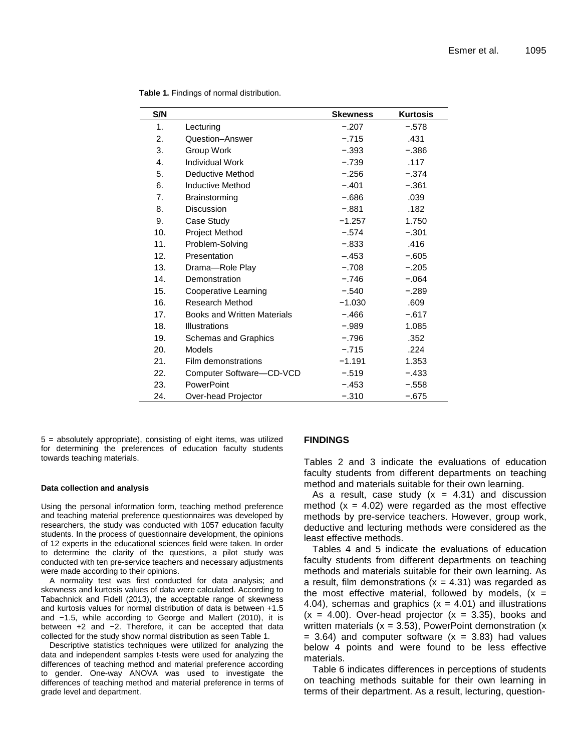| S/N |                                    | <b>Skewness</b> | <b>Kurtosis</b> |
|-----|------------------------------------|-----------------|-----------------|
| 1.  | Lecturing                          | $-.207$         | $-.578$         |
| 2.  | Question-Answer                    | $-.715$         | .431            |
| 3.  | Group Work                         | $-.393$         | $-.386$         |
| 4.  | Individual Work                    | $-.739$         | .117            |
| 5.  | Deductive Method                   | $-.256$         | $-.374$         |
| 6.  | <b>Inductive Method</b>            | $-.401$         | $-.361$         |
| 7.  | Brainstorming                      | $-0.686$        | .039            |
| 8.  | Discussion                         | $-.881$         | .182            |
| 9.  | Case Study                         | $-1.257$        | 1.750           |
| 10. | Project Method                     | $-.574$         | $-.301$         |
| 11. | Problem-Solving                    | $-.833$         | .416            |
| 12. | Presentation                       | $-.453$         | $-.605$         |
| 13. | Drama-Role Play                    | $-.708$         | $-.205$         |
| 14. | Demonstration                      | $-.746$         | $-.064$         |
| 15. | Cooperative Learning               | $-.540$         | $-.289$         |
| 16. | Research Method                    | $-1.030$        | .609            |
| 17. | <b>Books and Written Materials</b> | $-.466$         | $-.617$         |
| 18. | Illustrations                      | $-.989$         | 1.085           |
| 19. | Schemas and Graphics               | $-.796$         | .352            |
| 20. | <b>Models</b>                      | $-.715$         | .224            |
| 21. | Film demonstrations                | $-1.191$        | 1.353           |
| 22. | Computer Software-CD-VCD           | $-.519$         | $-.433$         |
| 23. | PowerPoint                         | $-.453$         | $-.558$         |
| 24. | Over-head Projector                | $-.310$         | $-.675$         |

**Table 1.** Findings of normal distribution.

5 = absolutely appropriate), consisting of eight items, was utilized for determining the preferences of education faculty students towards teaching materials.

#### **Data collection and analysis**

Using the personal information form, teaching method preference and teaching material preference questionnaires was developed by researchers, the study was conducted with 1057 education faculty students. In the process of questionnaire development, the opinions of 12 experts in the educational sciences field were taken. In order to determine the clarity of the questions, a pilot study was conducted with ten pre-service teachers and necessary adjustments were made according to their opinions.

A normality test was first conducted for data analysis; and skewness and kurtosis values of data were calculated. According to Tabachnick and Fidell (2013), the acceptable range of skewness and kurtosis values for normal distribution of data is between +1.5 and −1.5, while according to George and Mallert (2010), it is between +2 and −2. Therefore, it can be accepted that data collected for the study show normal distribution as seen Table 1.

Descriptive statistics techniques were utilized for analyzing the data and independent samples t-tests were used for analyzing the differences of teaching method and material preference according to gender. One-way ANOVA was used to investigate the differences of teaching method and material preference in terms of grade level and department.

#### **FINDINGS**

Tables 2 and 3 indicate the evaluations of education faculty students from different departments on teaching method and materials suitable for their own learning.

As a result, case study  $(x = 4.31)$  and discussion method  $(x = 4.02)$  were regarded as the most effective methods by pre-service teachers. However, group work, deductive and lecturing methods were considered as the least effective methods.

Tables 4 and 5 indicate the evaluations of education faculty students from different departments on teaching methods and materials suitable for their own learning. As a result, film demonstrations ( $x = 4.31$ ) was regarded as the most effective material, followed by models,  $(x =$ 4.04), schemas and graphics  $(x = 4.01)$  and illustrations  $(x = 4.00)$ . Over-head projector  $(x = 3.35)$ , books and written materials  $(x = 3.53)$ , PowerPoint demonstration  $(x + 1)$  $= 3.64$ ) and computer software (x  $= 3.83$ ) had values below 4 points and were found to be less effective materials.

Table 6 indicates differences in perceptions of students on teaching methods suitable for their own learning in terms of their department. As a result, lecturing, question-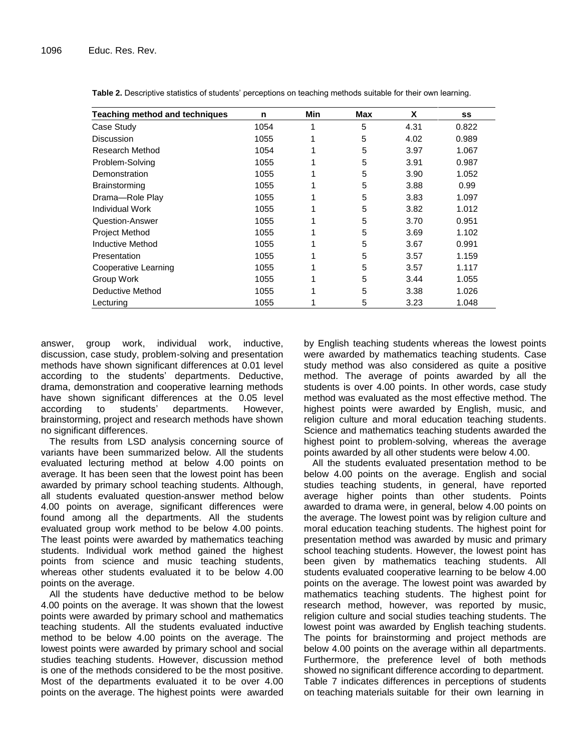| <b>Teaching method and techniques</b> | n    | <b>Min</b> | <b>Max</b> | X    | SS    |
|---------------------------------------|------|------------|------------|------|-------|
| Case Study                            | 1054 |            | 5          | 4.31 | 0.822 |
| Discussion                            | 1055 |            | 5          | 4.02 | 0.989 |
| Research Method                       | 1054 |            | 5          | 3.97 | 1.067 |
| Problem-Solving                       | 1055 |            | 5          | 3.91 | 0.987 |
| Demonstration                         | 1055 |            | 5          | 3.90 | 1.052 |
| Brainstorming                         | 1055 |            | 5          | 3.88 | 0.99  |
| Drama-Role Play                       | 1055 |            | 5          | 3.83 | 1.097 |
| Individual Work                       | 1055 |            | 5          | 3.82 | 1.012 |
| Question-Answer                       | 1055 |            | 5          | 3.70 | 0.951 |
| <b>Project Method</b>                 | 1055 |            | 5          | 3.69 | 1.102 |
| Inductive Method                      | 1055 |            | 5          | 3.67 | 0.991 |
| Presentation                          | 1055 |            | 5          | 3.57 | 1.159 |
| Cooperative Learning                  | 1055 |            | 5          | 3.57 | 1.117 |
| Group Work                            | 1055 |            | 5          | 3.44 | 1.055 |
| Deductive Method                      | 1055 |            | 5          | 3.38 | 1.026 |
| Lecturing                             | 1055 |            | 5          | 3.23 | 1.048 |

**Table 2.** Descriptive statistics of students' perceptions on teaching methods suitable for their own learning.

answer, group work, individual work, inductive, discussion, case study, problem-solving and presentation methods have shown significant differences at 0.01 level according to the students' departments. Deductive, drama, demonstration and cooperative learning methods have shown significant differences at the 0.05 level according to students' departments. However, brainstorming, project and research methods have shown no significant differences.

The results from LSD analysis concerning source of variants have been summarized below. All the students evaluated lecturing method at below 4.00 points on average. It has been seen that the lowest point has been awarded by primary school teaching students. Although, all students evaluated question-answer method below 4.00 points on average, significant differences were found among all the departments. All the students evaluated group work method to be below 4.00 points. The least points were awarded by mathematics teaching students. Individual work method gained the highest points from science and music teaching students, whereas other students evaluated it to be below 4.00 points on the average.

All the students have deductive method to be below 4.00 points on the average. It was shown that the lowest points were awarded by primary school and mathematics teaching students. All the students evaluated inductive method to be below 4.00 points on the average. The lowest points were awarded by primary school and social studies teaching students. However, discussion method is one of the methods considered to be the most positive. Most of the departments evaluated it to be over 4.00 points on the average. The highest points were awarded by English teaching students whereas the lowest points were awarded by mathematics teaching students. Case study method was also considered as quite a positive method. The average of points awarded by all the students is over 4.00 points. In other words, case study method was evaluated as the most effective method. The highest points were awarded by English, music, and religion culture and moral education teaching students. Science and mathematics teaching students awarded the highest point to problem-solving, whereas the average points awarded by all other students were below 4.00.

All the students evaluated presentation method to be below 4.00 points on the average. English and social studies teaching students, in general, have reported average higher points than other students. Points awarded to drama were, in general, below 4.00 points on the average. The lowest point was by religion culture and moral education teaching students. The highest point for presentation method was awarded by music and primary school teaching students. However, the lowest point has been given by mathematics teaching students. All students evaluated cooperative learning to be below 4.00 points on the average. The lowest point was awarded by mathematics teaching students. The highest point for research method, however, was reported by music, religion culture and social studies teaching students. The lowest point was awarded by English teaching students. The points for brainstorming and project methods are below 4.00 points on the average within all departments. Furthermore, the preference level of both methods showed no significant difference according to department. Table 7 indicates differences in perceptions of students on teaching materials suitable for their own learning in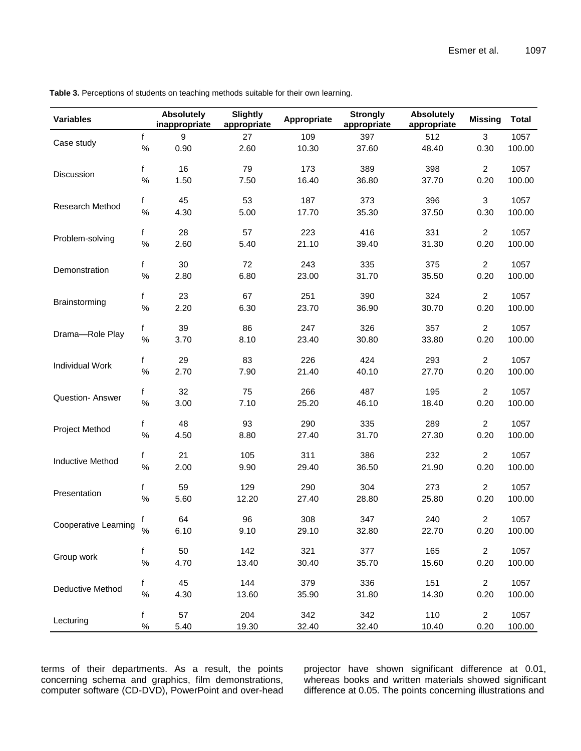| <b>Variables</b>            |             | <b>Absolutely</b><br>inappropriate | <b>Slightly</b><br>appropriate | Appropriate | <b>Strongly</b><br>appropriate | <b>Absolutely</b><br>appropriate | <b>Missing</b> | <b>Total</b> |
|-----------------------------|-------------|------------------------------------|--------------------------------|-------------|--------------------------------|----------------------------------|----------------|--------------|
|                             | f           | 9                                  | 27                             | 109         | 397                            | 512                              | $\mathbf{3}$   | 1057         |
| Case study                  | $\%$        | 0.90                               | 2.60                           | 10.30       | 37.60                          | 48.40                            | 0.30           | 100.00       |
| Discussion                  | f           | 16                                 | 79                             | 173         | 389                            | 398                              | $\overline{2}$ | 1057         |
|                             | $\%$        | 1.50                               | 7.50                           | 16.40       | 36.80                          | 37.70                            | 0.20           | 100.00       |
| <b>Research Method</b>      | f           | 45                                 | 53                             | 187         | 373                            | 396                              | $\mathbf{3}$   | 1057         |
|                             | $\%$        | 4.30                               | 5.00                           | 17.70       | 35.30                          | 37.50                            | 0.30           | 100.00       |
| Problem-solving             | f           | 28                                 | 57                             | 223         | 416                            | 331                              | 2              | 1057         |
|                             | $\%$        | 2.60                               | 5.40                           | 21.10       | 39.40                          | 31.30                            | 0.20           | 100.00       |
| Demonstration               | f           | 30                                 | 72                             | 243         | 335                            | 375                              | $\overline{2}$ | 1057         |
|                             | $\%$        | 2.80                               | 6.80                           | 23.00       | 31.70                          | 35.50                            | 0.20           | 100.00       |
| Brainstorming               | f           | 23                                 | 67                             | 251         | 390                            | 324                              | 2              | 1057         |
|                             | $\%$        | 2.20                               | 6.30                           | 23.70       | 36.90                          | 30.70                            | 0.20           | 100.00       |
| Drama-Role Play             | f           | 39                                 | 86                             | 247         | 326                            | 357                              | $\overline{2}$ | 1057         |
|                             | $\%$        | 3.70                               | 8.10                           | 23.40       | 30.80                          | 33.80                            | 0.20           | 100.00       |
| Individual Work             | f           | 29                                 | 83                             | 226         | 424                            | 293                              | $\overline{c}$ | 1057         |
|                             | $\%$        | 2.70                               | 7.90                           | 21.40       | 40.10                          | 27.70                            | 0.20           | 100.00       |
| <b>Question- Answer</b>     | f           | 32                                 | 75                             | 266         | 487                            | 195                              | $\overline{2}$ | 1057         |
|                             | $\%$        | 3.00                               | 7.10                           | 25.20       | 46.10                          | 18.40                            | 0.20           | 100.00       |
| Project Method              | f           | 48                                 | 93                             | 290         | 335                            | 289                              | $\overline{2}$ | 1057         |
|                             | $\%$        | 4.50                               | 8.80                           | 27.40       | 31.70                          | 27.30                            | 0.20           | 100.00       |
| <b>Inductive Method</b>     | f           | 21                                 | 105                            | 311         | 386                            | 232                              | $\overline{2}$ | 1057         |
|                             | $\%$        | 2.00                               | 9.90                           | 29.40       | 36.50                          | 21.90                            | 0.20           | 100.00       |
| Presentation                | f           | 59                                 | 129                            | 290         | 304                            | 273                              | $\overline{2}$ | 1057         |
|                             | $\%$        | 5.60                               | 12.20                          | 27.40       | 28.80                          | 25.80                            | 0.20           | 100.00       |
| <b>Cooperative Learning</b> | f           | 64                                 | 96                             | 308         | 347                            | 240                              | $\overline{c}$ | 1057         |
|                             | $\%$        | 6.10                               | 9.10                           | 29.10       | 32.80                          | 22.70                            | 0.20           | 100.00       |
| Group work                  | f           | 50                                 | 142                            | 321         | 377                            | 165                              | $\overline{2}$ | 1057         |
|                             | $\%$        | 4.70                               | 13.40                          | 30.40       | 35.70                          | 15.60                            | 0.20           | 100.00       |
| Deductive Method            | $\mathsf f$ | 45                                 | 144                            | 379         | 336                            | 151                              | $\overline{c}$ | 1057         |
|                             | $\%$        | 4.30                               | 13.60                          | 35.90       | 31.80                          | 14.30                            | 0.20           | 100.00       |
| Lecturing                   | f           | 57                                 | 204                            | 342         | 342                            | 110                              | $\overline{c}$ | 1057         |
|                             | $\%$        | 5.40                               | 19.30                          | 32.40       | 32.40                          | 10.40                            | 0.20           | 100.00       |

**Table 3.** Perceptions of students on teaching methods suitable for their own learning.

terms of their departments. As a result, the points concerning schema and graphics, film demonstrations, computer software (CD-DVD), PowerPoint and over-head projector have shown significant difference at 0.01, whereas books and written materials showed significant difference at 0.05. The points concerning illustrations and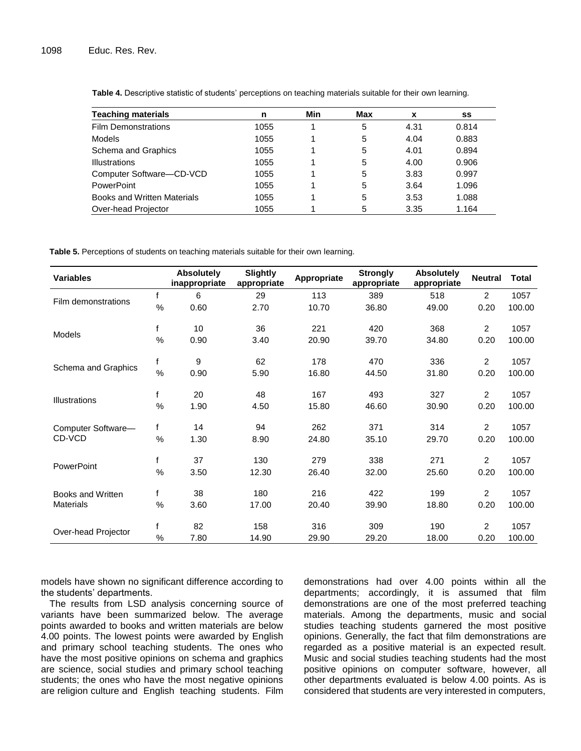| <b>Teaching materials</b>          | n    | Min | <b>Max</b> | X    | SS    |
|------------------------------------|------|-----|------------|------|-------|
| <b>Film Demonstrations</b>         | 1055 |     | 5          | 4.31 | 0.814 |
| <b>Models</b>                      | 1055 |     | 5          | 4.04 | 0.883 |
| Schema and Graphics                | 1055 |     | 5          | 4.01 | 0.894 |
| <b>Illustrations</b>               | 1055 |     | 5          | 4.00 | 0.906 |
| Computer Software-CD-VCD           | 1055 |     | 5          | 3.83 | 0.997 |
| <b>PowerPoint</b>                  | 1055 |     | 5          | 3.64 | 1.096 |
| <b>Books and Written Materials</b> | 1055 |     | 5          | 3.53 | 1.088 |
| Over-head Projector                | 1055 |     | 5          | 3.35 | 1.164 |

**Table 4.** Descriptive statistic of students' perceptions on teaching materials suitable for their own learning.

**Table 5.** Perceptions of students on teaching materials suitable for their own learning.

| <b>Variables</b>    |      | <b>Absolutely</b><br>inappropriate | <b>Slightly</b><br>appropriate | Appropriate | <b>Strongly</b><br>appropriate | <b>Absolutely</b><br>appropriate | <b>Neutral</b> | <b>Total</b> |
|---------------------|------|------------------------------------|--------------------------------|-------------|--------------------------------|----------------------------------|----------------|--------------|
| Film demonstrations | f    | 6                                  | 29                             | 113         | 389                            | 518                              | 2              | 1057         |
|                     | %    | 0.60                               | 2.70                           | 10.70       | 36.80                          | 49.00                            | 0.20           | 100.00       |
| Models              | f    | 10                                 | 36                             | 221         | 420                            | 368                              | 2              | 1057         |
|                     | $\%$ | 0.90                               | 3.40                           | 20.90       | 39.70                          | 34.80                            | 0.20           | 100.00       |
|                     | f    | 9                                  | 62                             | 178         | 470                            | 336                              | 2              | 1057         |
| Schema and Graphics | $\%$ | 0.90                               | 5.90                           | 16.80       | 44.50                          | 31.80                            | 0.20           | 100.00       |
|                     | f    | 20                                 | 48                             | 167         | 493                            | 327                              | 2              | 1057         |
| Illustrations       | %    | 1.90                               | 4.50                           | 15.80       | 46.60                          | 30.90                            | 0.20           | 100.00       |
| Computer Software-  | f    | 14                                 | 94                             | 262         | 371                            | 314                              | $\overline{2}$ | 1057         |
| CD-VCD              | %    | 1.30                               | 8.90                           | 24.80       | 35.10                          | 29.70                            | 0.20           | 100.00       |
|                     | f    | 37                                 | 130                            | 279         | 338                            | 271                              | 2              | 1057         |
| PowerPoint          | $\%$ | 3.50                               | 12.30                          | 26.40       | 32.00                          | 25.60                            | 0.20           | 100.00       |
| Books and Written   | f    | 38                                 | 180                            | 216         | 422                            | 199                              | 2              | 1057         |
| <b>Materials</b>    | $\%$ | 3.60                               | 17.00                          | 20.40       | 39.90                          | 18.80                            | 0.20           | 100.00       |
|                     | f    | 82                                 | 158                            | 316         | 309                            | 190                              | 2              | 1057         |
| Over-head Projector | %    | 7.80                               | 14.90                          | 29.90       | 29.20                          | 18.00                            | 0.20           | 100.00       |

models have shown no significant difference according to the students' departments.

The results from LSD analysis concerning source of variants have been summarized below. The average points awarded to books and written materials are below 4.00 points. The lowest points were awarded by English and primary school teaching students. The ones who have the most positive opinions on schema and graphics are science, social studies and primary school teaching students; the ones who have the most negative opinions are religion culture and English teaching students. Film

demonstrations had over 4.00 points within all the departments; accordingly, it is assumed that film demonstrations are one of the most preferred teaching materials. Among the departments, music and social studies teaching students garnered the most positive opinions. Generally, the fact that film demonstrations are regarded as a positive material is an expected result. Music and social studies teaching students had the most positive opinions on computer software, however, all other departments evaluated is below 4.00 points. As is considered that students are very interested in computers,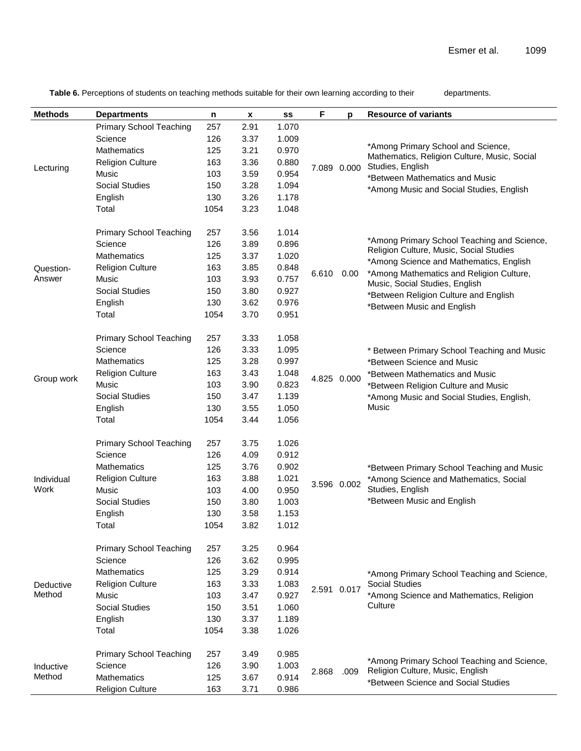Table 6. Perceptions of students on teaching methods suitable for their own learning according to their departments.

| <b>Methods</b>             | <b>Departments</b>                        | n    | X    | SS    | F           | p    | <b>Resource of variants</b>                                                        |  |  |  |
|----------------------------|-------------------------------------------|------|------|-------|-------------|------|------------------------------------------------------------------------------------|--|--|--|
|                            | <b>Primary School Teaching</b>            | 257  | 2.91 | 1.070 |             |      |                                                                                    |  |  |  |
|                            | Science                                   | 126  | 3.37 | 1.009 |             |      |                                                                                    |  |  |  |
|                            | <b>Mathematics</b>                        | 125  | 3.21 | 0.970 |             |      | *Among Primary School and Science,<br>Mathematics, Religion Culture, Music, Social |  |  |  |
| Lecturing                  | <b>Religion Culture</b>                   | 163  | 3.36 | 0.880 | 7.089 0.000 |      | Studies, English                                                                   |  |  |  |
|                            | <b>Music</b>                              | 103  | 3.59 | 0.954 |             |      | *Between Mathematics and Music                                                     |  |  |  |
|                            | <b>Social Studies</b>                     | 150  | 3.28 | 1.094 |             |      | *Among Music and Social Studies, English                                           |  |  |  |
|                            | English                                   | 130  | 3.26 | 1.178 |             |      |                                                                                    |  |  |  |
|                            | Total                                     | 1054 | 3.23 | 1.048 |             |      |                                                                                    |  |  |  |
|                            |                                           |      |      |       |             |      |                                                                                    |  |  |  |
|                            | <b>Primary School Teaching</b>            | 257  | 3.56 | 1.014 |             |      | *Among Primary School Teaching and Science,                                        |  |  |  |
|                            | Science                                   | 126  | 3.89 | 0.896 |             |      | Religion Culture, Music, Social Studies<br>*Among Science and Mathematics, English |  |  |  |
| Question-<br>Answer        | <b>Mathematics</b>                        | 125  | 3.37 | 1.020 |             |      |                                                                                    |  |  |  |
|                            | <b>Religion Culture</b>                   | 163  | 3.85 | 0.848 | 6.610       | 0.00 | *Among Mathematics and Religion Culture,                                           |  |  |  |
|                            | Music                                     | 103  | 3.93 | 0.757 |             |      | Music, Social Studies, English                                                     |  |  |  |
|                            | <b>Social Studies</b>                     | 150  | 3.80 | 0.927 |             |      | *Between Religion Culture and English<br>*Between Music and English                |  |  |  |
|                            | English                                   | 130  | 3.62 | 0.976 |             |      |                                                                                    |  |  |  |
|                            | Total                                     | 1054 | 3.70 | 0.951 |             |      |                                                                                    |  |  |  |
|                            | <b>Primary School Teaching</b>            | 257  | 3.33 | 1.058 |             |      |                                                                                    |  |  |  |
|                            | Science                                   | 126  | 3.33 | 1.095 |             |      | * Between Primary School Teaching and Music                                        |  |  |  |
|                            | <b>Mathematics</b>                        | 125  | 3.28 | 0.997 |             |      | *Between Science and Music                                                         |  |  |  |
|                            | <b>Religion Culture</b>                   | 163  | 3.43 | 1.048 |             |      | *Between Mathematics and Music                                                     |  |  |  |
| Group work                 | Music                                     | 103  | 3.90 | 0.823 | 4.825 0.000 |      | *Between Religion Culture and Music                                                |  |  |  |
|                            | <b>Social Studies</b>                     | 150  | 3.47 | 1.139 |             |      | *Among Music and Social Studies, English,                                          |  |  |  |
|                            | English                                   | 130  | 3.55 | 1.050 |             |      | Music                                                                              |  |  |  |
|                            | Total                                     | 1054 | 3.44 | 1.056 |             |      |                                                                                    |  |  |  |
|                            |                                           |      |      |       |             |      |                                                                                    |  |  |  |
|                            | <b>Primary School Teaching</b>            | 257  | 3.75 | 1.026 |             |      |                                                                                    |  |  |  |
|                            | Science                                   | 126  | 4.09 | 0.912 |             |      |                                                                                    |  |  |  |
|                            | <b>Mathematics</b>                        | 125  | 3.76 | 0.902 |             |      | *Between Primary School Teaching and Music                                         |  |  |  |
| Individual                 | <b>Religion Culture</b>                   | 163  | 3.88 | 1.021 | 3.596 0.002 |      | *Among Science and Mathematics, Social                                             |  |  |  |
| Work                       | Music                                     | 103  | 4.00 | 0.950 |             |      | Studies, English                                                                   |  |  |  |
|                            | <b>Social Studies</b>                     | 150  | 3.80 | 1.003 |             |      | *Between Music and English                                                         |  |  |  |
|                            | English                                   | 130  | 3.58 | 1.153 |             |      |                                                                                    |  |  |  |
|                            | Total                                     | 1054 | 3.82 | 1.012 |             |      |                                                                                    |  |  |  |
|                            |                                           |      |      |       |             |      |                                                                                    |  |  |  |
|                            | <b>Primary School Teaching</b><br>Science | 257  | 3.25 | 0.964 |             |      |                                                                                    |  |  |  |
|                            |                                           | 126  | 3.62 | 0.995 |             |      |                                                                                    |  |  |  |
|                            | <b>Mathematics</b>                        | 125  | 3.29 | 0.914 |             |      | *Among Primary School Teaching and Science,                                        |  |  |  |
| <b>Deductive</b><br>Method | <b>Religion Culture</b>                   | 163  | 3.33 | 1.083 | 2.591 0.017 |      | <b>Social Studies</b>                                                              |  |  |  |
|                            | Music                                     | 103  | 3.47 | 0.927 |             |      | *Among Science and Mathematics, Religion<br>Culture                                |  |  |  |
|                            | <b>Social Studies</b>                     | 150  | 3.51 | 1.060 |             |      |                                                                                    |  |  |  |
|                            | English                                   | 130  | 3.37 | 1.189 |             |      |                                                                                    |  |  |  |
|                            | Total                                     | 1054 | 3.38 | 1.026 |             |      |                                                                                    |  |  |  |
|                            | <b>Primary School Teaching</b>            | 257  | 3.49 | 0.985 |             |      |                                                                                    |  |  |  |
| Inductive                  | Science                                   | 126  | 3.90 | 1.003 |             |      | *Among Primary School Teaching and Science,                                        |  |  |  |
| Method                     | <b>Mathematics</b>                        | 125  | 3.67 | 0.914 | 2.868       | .009 | Religion Culture, Music, English<br>*Between Science and Social Studies            |  |  |  |
|                            | <b>Religion Culture</b>                   | 163  | 3.71 | 0.986 |             |      |                                                                                    |  |  |  |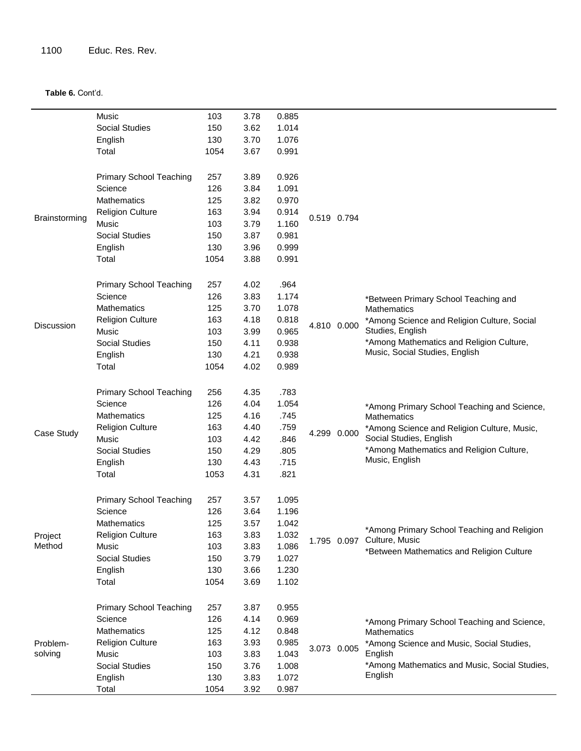# **Table 6.** Cont'd.

| 0.885<br>Music<br>103<br>3.78                                                                             |  |
|-----------------------------------------------------------------------------------------------------------|--|
|                                                                                                           |  |
| <b>Social Studies</b><br>3.62<br>1.014<br>150                                                             |  |
| 130<br>3.70<br>1.076<br>English                                                                           |  |
| Total<br>1054<br>3.67<br>0.991                                                                            |  |
|                                                                                                           |  |
| 0.926<br><b>Primary School Teaching</b><br>257<br>3.89                                                    |  |
| Science<br>126<br>3.84<br>1.091                                                                           |  |
| <b>Mathematics</b><br>125<br>3.82<br>0.970                                                                |  |
| 3.94<br>0.914<br><b>Religion Culture</b><br>163                                                           |  |
| 0.519 0.794<br><b>Brainstorming</b><br>Music<br>3.79<br>103<br>1.160                                      |  |
| <b>Social Studies</b><br>3.87<br>0.981<br>150                                                             |  |
| 130<br>3.96<br>0.999<br>English                                                                           |  |
| Total<br>3.88<br>0.991<br>1054                                                                            |  |
|                                                                                                           |  |
| <b>Primary School Teaching</b><br>257<br>4.02<br>.964                                                     |  |
| 3.83<br>1.174<br>Science<br>126<br>*Between Primary School Teaching and                                   |  |
| <b>Mathematics</b><br>3.70<br>1.078<br>125<br><b>Mathematics</b>                                          |  |
| <b>Religion Culture</b><br>163<br>4.18<br>0.818<br>*Among Science and Religion Culture, Social            |  |
| 4.810 0.000<br>Discussion<br>Studies, English<br>Music<br>0.965<br>103<br>3.99                            |  |
| *Among Mathematics and Religion Culture,<br><b>Social Studies</b><br>4.11<br>0.938<br>150                 |  |
| Music, Social Studies, English<br>English<br>130<br>4.21<br>0.938                                         |  |
| 1054<br>4.02<br>0.989<br>Total                                                                            |  |
|                                                                                                           |  |
| .783<br><b>Primary School Teaching</b><br>256<br>4.35                                                     |  |
| Science<br>4.04<br>1.054<br>126<br>*Among Primary School Teaching and Science,                            |  |
| .745<br><b>Mathematics</b><br>125<br>4.16<br><b>Mathematics</b>                                           |  |
| <b>Religion Culture</b><br>163<br>.759<br>4.40<br>*Among Science and Religion Culture, Music,             |  |
| Case Study<br>4.299 0.000<br>Social Studies, English<br>Music<br>103<br>4.42<br>.846                      |  |
| *Among Mathematics and Religion Culture,<br><b>Social Studies</b><br>150<br>4.29<br>.805                  |  |
| Music, English<br>4.43<br>.715<br>English<br>130                                                          |  |
| Total<br>1053<br>4.31<br>.821                                                                             |  |
|                                                                                                           |  |
| <b>Primary School Teaching</b><br>257<br>3.57<br>1.095                                                    |  |
| 1.196<br>Science<br>126<br>3.64                                                                           |  |
| 125<br>1.042<br><b>Mathematics</b><br>3.57                                                                |  |
| *Among Primary School Teaching and Religion<br>1.032<br><b>Religion Culture</b><br>163<br>3.83<br>Project |  |
| 1.795 0.097 Culture, Music<br>Method<br>Music<br>103<br>3.83<br>1.086                                     |  |
| *Between Mathematics and Religion Culture<br><b>Social Studies</b><br>3.79<br>1.027<br>150                |  |
| 3.66<br>1.230<br>English<br>130                                                                           |  |
| 3.69<br>1.102<br>Total<br>1054                                                                            |  |
|                                                                                                           |  |
| <b>Primary School Teaching</b><br>3.87<br>0.955<br>257                                                    |  |
| Science<br>126<br>4.14<br>0.969<br>*Among Primary School Teaching and Science,                            |  |
| <b>Mathematics</b><br>0.848<br>125<br>4.12<br><b>Mathematics</b>                                          |  |
| 0.985<br><b>Religion Culture</b><br>163<br>3.93<br>Problem-<br>*Among Science and Music, Social Studies,  |  |
| 3.073 0.005<br>solving<br>English<br>1.043<br>Music<br>103<br>3.83                                        |  |
| *Among Mathematics and Music, Social Studies,<br><b>Social Studies</b><br>150<br>3.76<br>1.008            |  |
| English<br>130<br>3.83<br>1.072<br>English                                                                |  |
| 3.92<br>1054<br>0.987<br>Total                                                                            |  |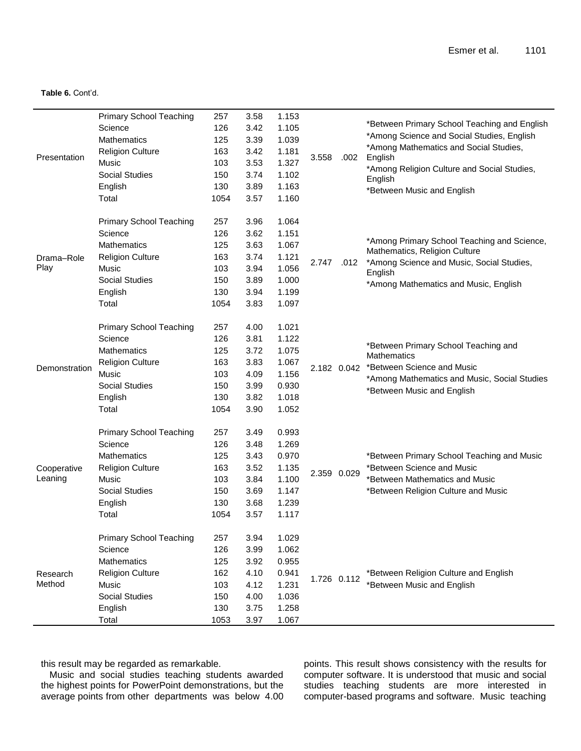**Table 6.** Cont'd.

| Presentation           | <b>Primary School Teaching</b><br>Science<br>Mathematics<br><b>Religion Culture</b><br>Music<br><b>Social Studies</b><br>English<br>Total        | 257<br>126<br>125<br>163<br>103<br>150<br>130<br>1054 | 3.58<br>3.42<br>3.39<br>3.42<br>3.53<br>3.74<br>3.89<br>3.57 | 1.153<br>1.105<br>1.039<br>1.181<br>1.327<br>1.102<br>1.163<br>1.160 | 3.558       | .002        | *Between Primary School Teaching and English<br>*Among Science and Social Studies, English<br>*Among Mathematics and Social Studies,<br>English<br>*Among Religion Culture and Social Studies,<br>English<br>*Between Music and English |
|------------------------|--------------------------------------------------------------------------------------------------------------------------------------------------|-------------------------------------------------------|--------------------------------------------------------------|----------------------------------------------------------------------|-------------|-------------|-----------------------------------------------------------------------------------------------------------------------------------------------------------------------------------------------------------------------------------------|
| Drama-Role<br>Play     | <b>Primary School Teaching</b><br>Science<br>Mathematics<br><b>Religion Culture</b><br>Music<br><b>Social Studies</b><br>English<br>Total        | 257<br>126<br>125<br>163<br>103<br>150<br>130<br>1054 | 3.96<br>3.62<br>3.63<br>3.74<br>3.94<br>3.89<br>3.94<br>3.83 | 1.064<br>1.151<br>1.067<br>1.121<br>1.056<br>1.000<br>1.199<br>1.097 | 2.747       | .012        | *Among Primary School Teaching and Science,<br>Mathematics, Religion Culture<br>*Among Science and Music, Social Studies,<br>English<br>*Among Mathematics and Music, English                                                           |
| Demonstration          | Primary School Teaching<br>Science<br>Mathematics<br><b>Religion Culture</b><br>Music<br><b>Social Studies</b><br>English<br>Total               | 257<br>126<br>125<br>163<br>103<br>150<br>130<br>1054 | 4.00<br>3.81<br>3.72<br>3.83<br>4.09<br>3.99<br>3.82<br>3.90 | 1.021<br>1.122<br>1.075<br>1.067<br>1.156<br>0.930<br>1.018<br>1.052 |             |             | *Between Primary School Teaching and<br><b>Mathematics</b><br>2.182 0.042 *Between Science and Music<br>*Among Mathematics and Music, Social Studies<br>*Between Music and English                                                      |
| Cooperative<br>Leaning | <b>Primary School Teaching</b><br>Science<br><b>Mathematics</b><br><b>Religion Culture</b><br>Music<br><b>Social Studies</b><br>English<br>Total | 257<br>126<br>125<br>163<br>103<br>150<br>130<br>1054 | 3.49<br>3.48<br>3.43<br>3.52<br>3.84<br>3.69<br>3.68<br>3.57 | 0.993<br>1.269<br>0.970<br>1.135<br>1.100<br>1.147<br>1.239<br>1.117 | 2.359 0.029 |             | *Between Primary School Teaching and Music<br>*Between Science and Music<br>*Between Mathematics and Music<br>*Between Religion Culture and Music                                                                                       |
| Research<br>Method     | <b>Primary School Teaching</b><br>Science<br><b>Mathematics</b><br><b>Religion Culture</b><br>Music<br>Social Studies<br>English<br>Total        | 257<br>126<br>125<br>162<br>103<br>150<br>130<br>1053 | 3.94<br>3.99<br>3.92<br>4.10<br>4.12<br>4.00<br>3.75<br>3.97 | 1.029<br>1.062<br>0.955<br>0.941<br>1.231<br>1.036<br>1.258<br>1.067 |             | 1.726 0.112 | *Between Religion Culture and English<br>*Between Music and English                                                                                                                                                                     |

this result may be regarded as remarkable.

Music and social studies teaching students awarded the highest points for PowerPoint demonstrations, but the average points from other departments was below 4.00 points. This result shows consistency with the results for computer software. It is understood that music and social studies teaching students are more interested in computer-based programs and software. Music teaching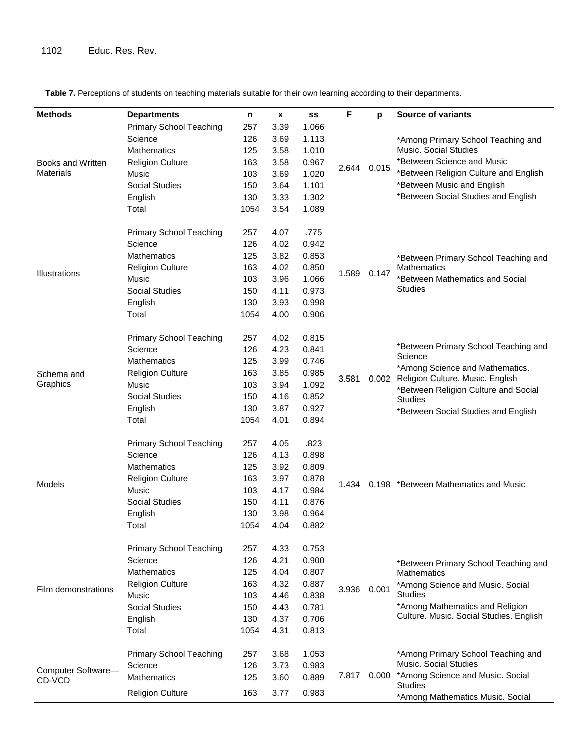**Table 7.** Perceptions of students on teaching materials suitable for their own learning according to their departments.

| <b>Methods</b>               | <b>Departments</b>             | n    | x    | SS    | F     | D     | <b>Source of variants</b>                              |  |  |  |
|------------------------------|--------------------------------|------|------|-------|-------|-------|--------------------------------------------------------|--|--|--|
|                              | <b>Primary School Teaching</b> | 257  | 3.39 | 1.066 |       |       |                                                        |  |  |  |
|                              | Science                        | 126  | 3.69 | 1.113 |       |       | *Among Primary School Teaching and                     |  |  |  |
|                              | <b>Mathematics</b>             | 125  | 3.58 | 1.010 |       |       | <b>Music. Social Studies</b>                           |  |  |  |
| <b>Books and Written</b>     | <b>Religion Culture</b>        | 163  | 3.58 | 0.967 |       |       | *Between Science and Music                             |  |  |  |
| Materials                    | Music                          | 103  | 3.69 | 1.020 | 2.644 | 0.015 | *Between Religion Culture and English                  |  |  |  |
|                              | <b>Social Studies</b>          | 150  | 3.64 | 1.101 |       |       | *Between Music and English                             |  |  |  |
|                              | English                        | 130  | 3.33 | 1.302 |       |       | *Between Social Studies and English                    |  |  |  |
|                              | Total                          | 1054 | 3.54 | 1.089 |       |       |                                                        |  |  |  |
|                              | Primary School Teaching        | 257  | 4.07 | .775  |       |       |                                                        |  |  |  |
|                              | Science                        | 126  | 4.02 | 0.942 |       |       |                                                        |  |  |  |
|                              | <b>Mathematics</b>             | 125  | 3.82 | 0.853 |       |       | *Between Primary School Teaching and                   |  |  |  |
|                              | <b>Religion Culture</b>        | 163  | 4.02 | 0.850 |       | 0.147 | Mathematics                                            |  |  |  |
| Illustrations                | Music                          | 103  | 3.96 | 1.066 | 1.589 |       | *Between Mathematics and Social                        |  |  |  |
|                              | <b>Social Studies</b>          | 150  | 4.11 | 0.973 |       |       | <b>Studies</b>                                         |  |  |  |
|                              | English                        | 130  | 3.93 | 0.998 |       |       |                                                        |  |  |  |
|                              | Total                          | 1054 | 4.00 | 0.906 |       |       |                                                        |  |  |  |
|                              | Primary School Teaching        | 257  | 4.02 | 0.815 |       |       |                                                        |  |  |  |
|                              | Science                        | 126  | 4.23 | 0.841 |       |       | *Between Primary School Teaching and                   |  |  |  |
| Schema and                   | <b>Mathematics</b>             | 125  | 3.99 | 0.746 |       |       | Science                                                |  |  |  |
|                              | <b>Religion Culture</b>        | 163  | 3.85 | 0.985 |       |       | *Among Science and Mathematics.                        |  |  |  |
| Graphics                     | Music                          | 103  | 3.94 | 1.092 | 3.581 | 0.002 | Religion Culture. Music. English                       |  |  |  |
|                              | <b>Social Studies</b>          | 150  | 4.16 | 0.852 |       |       | *Between Religion Culture and Social<br><b>Studies</b> |  |  |  |
|                              | English                        | 130  | 3.87 | 0.927 |       |       |                                                        |  |  |  |
|                              | Total                          | 1054 | 4.01 | 0.894 |       |       | *Between Social Studies and English                    |  |  |  |
|                              | Primary School Teaching        | 257  | 4.05 | .823  |       |       |                                                        |  |  |  |
|                              | Science                        | 126  | 4.13 | 0.898 |       |       |                                                        |  |  |  |
|                              | <b>Mathematics</b>             | 125  | 3.92 | 0.809 |       |       |                                                        |  |  |  |
|                              | <b>Religion Culture</b>        | 163  | 3.97 | 0.878 |       |       |                                                        |  |  |  |
| Models                       | <b>Music</b>                   | 103  | 4.17 | 0.984 | 1.434 |       | 0.198 *Between Mathematics and Music                   |  |  |  |
|                              | <b>Social Studies</b>          | 150  | 4.11 | 0.876 |       |       |                                                        |  |  |  |
|                              | English                        | 130  | 3.98 | 0.964 |       |       |                                                        |  |  |  |
|                              | Total                          | 1054 | 4.04 | 0.882 |       |       |                                                        |  |  |  |
|                              | <b>Primary School Teaching</b> | 257  | 4.33 | 0.753 |       |       |                                                        |  |  |  |
|                              | Science                        | 126  | 4.21 | 0.900 |       |       | *Between Primary School Teaching and                   |  |  |  |
|                              | <b>Mathematics</b>             | 125  | 4.04 | 0.807 |       |       | <b>Mathematics</b>                                     |  |  |  |
|                              | <b>Religion Culture</b>        | 163  | 4.32 | 0.887 |       |       | *Among Science and Music. Social                       |  |  |  |
| Film demonstrations          | <b>Music</b>                   | 103  | 4.46 | 0.838 | 3.936 | 0.001 | <b>Studies</b>                                         |  |  |  |
|                              | <b>Social Studies</b>          | 150  | 4.43 | 0.781 |       |       | *Among Mathematics and Religion                        |  |  |  |
|                              | English                        | 130  | 4.37 | 0.706 |       |       | Culture. Music. Social Studies. English                |  |  |  |
|                              | Total                          | 1054 | 4.31 | 0.813 |       |       |                                                        |  |  |  |
|                              | Primary School Teaching        | 257  | 3.68 | 1.053 |       |       | *Among Primary School Teaching and                     |  |  |  |
|                              | Science                        | 126  | 3.73 | 0.983 |       |       | <b>Music. Social Studies</b>                           |  |  |  |
| Computer Software-<br>CD-VCD | <b>Mathematics</b>             | 125  | 3.60 | 0.889 | 7.817 | 0.000 | *Among Science and Music. Social                       |  |  |  |
|                              | <b>Religion Culture</b>        | 163  | 3.77 | 0.983 |       |       | <b>Studies</b><br>*Among Mathematics Music. Social     |  |  |  |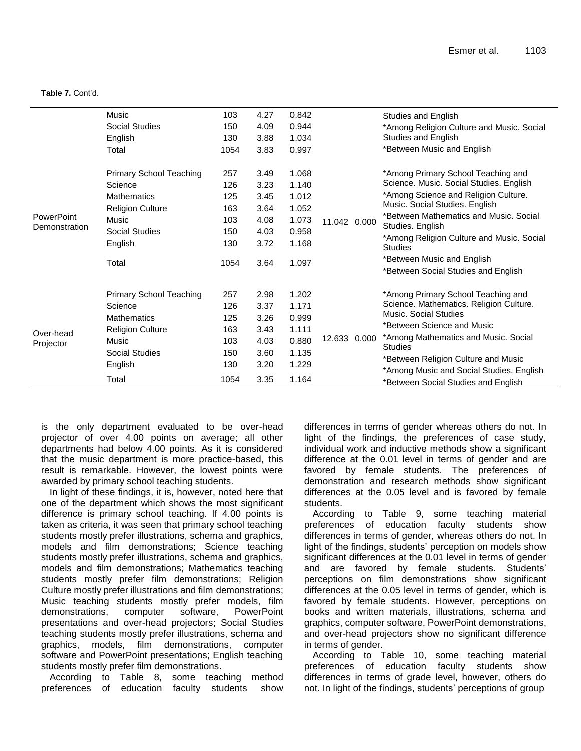#### **Table 7.** Cont'd.

|                             | Music                          | 103  | 4.27 | 0.842 |              |  | Studies and English                                                           |  |  |  |
|-----------------------------|--------------------------------|------|------|-------|--------------|--|-------------------------------------------------------------------------------|--|--|--|
|                             | <b>Social Studies</b>          | 150  | 4.09 | 0.944 |              |  | *Among Religion Culture and Music. Social                                     |  |  |  |
|                             | English                        | 130  | 3.88 | 1.034 |              |  | Studies and English                                                           |  |  |  |
|                             | Total                          | 1054 | 3.83 | 0.997 |              |  | *Between Music and English                                                    |  |  |  |
|                             |                                |      |      |       |              |  |                                                                               |  |  |  |
|                             | <b>Primary School Teaching</b> | 257  | 3.49 | 1.068 |              |  | *Among Primary School Teaching and                                            |  |  |  |
|                             | Science                        | 126  | 3.23 | 1.140 |              |  | Science. Music. Social Studies. English                                       |  |  |  |
|                             | <b>Mathematics</b>             | 125  | 3.45 | 1.012 |              |  | *Among Science and Religion Culture.                                          |  |  |  |
|                             | <b>Religion Culture</b>        | 163  | 3.64 | 1.052 |              |  | Music. Social Studies. English                                                |  |  |  |
| PowerPoint<br>Demonstration | Music                          | 103  | 4.08 | 1.073 | 11.042 0.000 |  | *Between Mathematics and Music. Social                                        |  |  |  |
|                             | <b>Social Studies</b>          | 150  | 4.03 | 0.958 |              |  | Studies. English                                                              |  |  |  |
|                             | English                        | 130  | 3.72 | 1.168 |              |  | *Among Religion Culture and Music. Social<br><b>Studies</b>                   |  |  |  |
|                             | Total                          | 1054 | 3.64 | 1.097 |              |  | *Between Music and English                                                    |  |  |  |
|                             |                                |      |      |       |              |  | *Between Social Studies and English                                           |  |  |  |
|                             |                                |      |      |       |              |  |                                                                               |  |  |  |
|                             | <b>Primary School Teaching</b> | 257  | 2.98 | 1.202 |              |  | *Among Primary School Teaching and<br>Science. Mathematics. Religion Culture. |  |  |  |
|                             | Science                        | 126  | 3.37 | 1.171 |              |  | <b>Music. Social Studies</b>                                                  |  |  |  |
|                             | <b>Mathematics</b>             | 125  | 3.26 | 0.999 |              |  | *Between Science and Music                                                    |  |  |  |
| Over-head                   | <b>Religion Culture</b>        | 163  | 3.43 | 1.111 | 12.633 0.000 |  | *Among Mathematics and Music. Social                                          |  |  |  |
| Projector                   | Music                          | 103  | 4.03 | 0.880 |              |  | <b>Studies</b>                                                                |  |  |  |
|                             | <b>Social Studies</b>          | 150  | 3.60 | 1.135 |              |  | *Between Religion Culture and Music                                           |  |  |  |
|                             | English                        | 130  | 3.20 | 1.229 |              |  | *Among Music and Social Studies. English                                      |  |  |  |
|                             | Total                          | 1054 | 3.35 | 1.164 |              |  | *Between Social Studies and English                                           |  |  |  |

is the only department evaluated to be over-head projector of over 4.00 points on average; all other departments had below 4.00 points. As it is considered that the music department is more practice-based, this result is remarkable. However, the lowest points were awarded by primary school teaching students.

In light of these findings, it is, however, noted here that one of the department which shows the most significant difference is primary school teaching. If 4.00 points is taken as criteria, it was seen that primary school teaching students mostly prefer illustrations, schema and graphics, models and film demonstrations; Science teaching students mostly prefer illustrations, schema and graphics, models and film demonstrations; Mathematics teaching students mostly prefer film demonstrations; Religion Culture mostly prefer illustrations and film demonstrations; Music teaching students mostly prefer models, film demonstrations, computer software, PowerPoint presentations and over-head projectors; Social Studies teaching students mostly prefer illustrations, schema and graphics, models, film demonstrations, computer software and PowerPoint presentations; English teaching students mostly prefer film demonstrations.

According to Table 8, some teaching method preferences of education faculty students show

differences in terms of gender whereas others do not. In light of the findings, the preferences of case study, individual work and inductive methods show a significant difference at the 0.01 level in terms of gender and are favored by female students. The preferences of demonstration and research methods show significant differences at the 0.05 level and is favored by female students.

According to Table 9, some teaching material preferences of education faculty students show differences in terms of gender, whereas others do not. In light of the findings, students' perception on models show significant differences at the 0.01 level in terms of gender and are favored by female students. Students' perceptions on film demonstrations show significant differences at the 0.05 level in terms of gender, which is favored by female students. However, perceptions on books and written materials, illustrations, schema and graphics, computer software, PowerPoint demonstrations, and over-head projectors show no significant difference in terms of gender.

According to Table 10, some teaching material preferences of education faculty students show differences in terms of grade level, however, others do not. In light of the findings, students' perceptions of group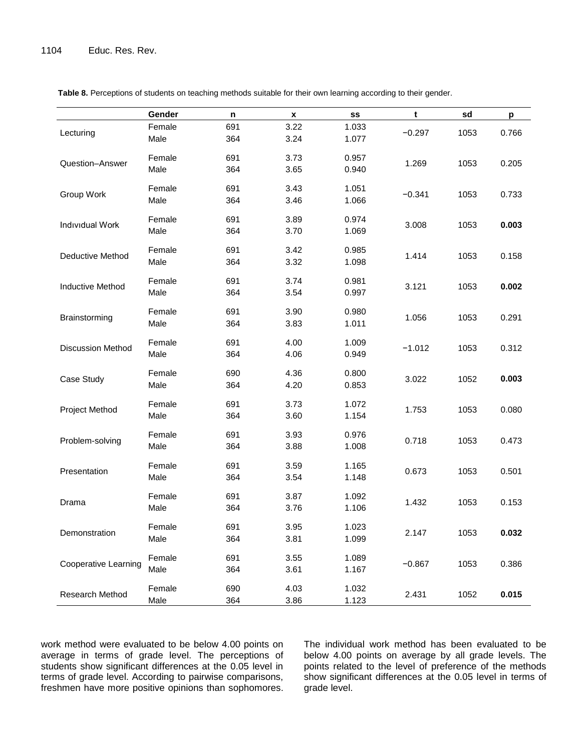|                             | Gender         | n          | X            | SS             | t        | sd   | p     |
|-----------------------------|----------------|------------|--------------|----------------|----------|------|-------|
| Lecturing                   | Female<br>Male | 691<br>364 | 3.22<br>3.24 | 1.033<br>1.077 | $-0.297$ | 1053 | 0.766 |
| Question-Answer             | Female<br>Male | 691<br>364 | 3.73<br>3.65 | 0.957<br>0.940 | 1.269    | 1053 | 0.205 |
| Group Work                  | Female<br>Male | 691<br>364 | 3.43<br>3.46 | 1.051<br>1.066 | $-0.341$ | 1053 | 0.733 |
| <b>Individual Work</b>      | Female<br>Male | 691<br>364 | 3.89<br>3.70 | 0.974<br>1.069 | 3.008    | 1053 | 0.003 |
| <b>Deductive Method</b>     | Female<br>Male | 691<br>364 | 3.42<br>3.32 | 0.985<br>1.098 | 1.414    | 1053 | 0.158 |
| <b>Inductive Method</b>     | Female<br>Male | 691<br>364 | 3.74<br>3.54 | 0.981<br>0.997 | 3.121    | 1053 | 0.002 |
| Brainstorming               | Female<br>Male | 691<br>364 | 3.90<br>3.83 | 0.980<br>1.011 | 1.056    | 1053 | 0.291 |
| <b>Discussion Method</b>    | Female<br>Male | 691<br>364 | 4.00<br>4.06 | 1.009<br>0.949 | $-1.012$ | 1053 | 0.312 |
| Case Study                  | Female<br>Male | 690<br>364 | 4.36<br>4.20 | 0.800<br>0.853 | 3.022    | 1052 | 0.003 |
| Project Method              | Female<br>Male | 691<br>364 | 3.73<br>3.60 | 1.072<br>1.154 | 1.753    | 1053 | 0.080 |
| Problem-solving             | Female<br>Male | 691<br>364 | 3.93<br>3.88 | 0.976<br>1.008 | 0.718    | 1053 | 0.473 |
| Presentation                | Female<br>Male | 691<br>364 | 3.59<br>3.54 | 1.165<br>1.148 | 0.673    | 1053 | 0.501 |
| Drama                       | Female<br>Male | 691<br>364 | 3.87<br>3.76 | 1.092<br>1.106 | 1.432    | 1053 | 0.153 |
| Demonstration               | Female<br>Male | 691<br>364 | 3.95<br>3.81 | 1.023<br>1.099 | 2.147    | 1053 | 0.032 |
| <b>Cooperative Learning</b> | Female<br>Male | 691<br>364 | 3.55<br>3.61 | 1.089<br>1.167 | $-0.867$ | 1053 | 0.386 |
| Research Method             | Female<br>Male | 690<br>364 | 4.03<br>3.86 | 1.032<br>1.123 | 2.431    | 1052 | 0.015 |

**Table 8.** Perceptions of students on teaching methods suitable for their own learning according to their gender.

work method were evaluated to be below 4.00 points on average in terms of grade level. The perceptions of students show significant differences at the 0.05 level in terms of grade level. According to pairwise comparisons, freshmen have more positive opinions than sophomores.

The individual work method has been evaluated to be below 4.00 points on average by all grade levels. The points related to the level of preference of the methods show significant differences at the 0.05 level in terms of grade level.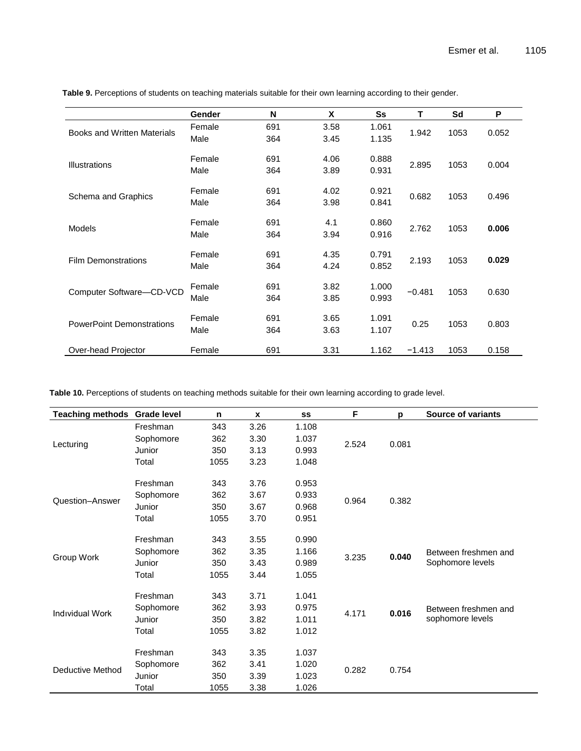|                                    | Gender | N   | X    | Ss    | T.       | Sd   | P     |  |
|------------------------------------|--------|-----|------|-------|----------|------|-------|--|
|                                    | Female | 691 | 3.58 | 1.061 |          |      |       |  |
| <b>Books and Written Materials</b> | Male   | 364 | 3.45 | 1.135 | 1.942    | 1053 | 0.052 |  |
| <b>Illustrations</b>               | Female | 691 | 4.06 | 0.888 |          | 1053 |       |  |
|                                    | Male   | 364 | 3.89 | 0.931 | 2.895    |      | 0.004 |  |
| Schema and Graphics                | Female | 691 | 4.02 | 0.921 |          | 1053 | 0.496 |  |
|                                    | Male   | 364 | 3.98 | 0.841 | 0.682    |      |       |  |
|                                    | Female | 691 | 4.1  | 0.860 |          | 1053 |       |  |
| <b>Models</b>                      | Male   | 364 | 3.94 | 0.916 | 2.762    |      | 0.006 |  |
|                                    | Female | 691 | 4.35 | 0.791 |          |      |       |  |
| <b>Film Demonstrations</b>         | Male   | 364 | 4.24 | 0.852 | 2.193    | 1053 | 0.029 |  |
|                                    | Female | 691 | 3.82 | 1.000 |          |      |       |  |
| Computer Software-CD-VCD           | Male   | 364 | 3.85 | 0.993 | $-0.481$ | 1053 | 0.630 |  |
|                                    | Female | 691 | 3.65 | 1.091 |          |      | 0.803 |  |
| <b>PowerPoint Demonstrations</b>   | Male   | 364 | 3.63 | 1.107 | 0.25     | 1053 |       |  |
| Over-head Projector                | Female | 691 | 3.31 | 1.162 | $-1.413$ | 1053 | 0.158 |  |

**Table 9.** Perceptions of students on teaching materials suitable for their own learning according to their gender.

**Table 10.** Perceptions of students on teaching methods suitable for their own learning according to grade level.

| <b>Teaching methods</b> | <b>Grade level</b> | n    | $\mathbf x$ | SS    | F     | p     | <b>Source of variants</b> |
|-------------------------|--------------------|------|-------------|-------|-------|-------|---------------------------|
| Lecturing               | Freshman           | 343  | 3.26        | 1.108 | 2.524 |       |                           |
|                         | Sophomore          | 362  | 3.30        | 1.037 |       |       |                           |
|                         | Junior             | 350  | 3.13        | 0.993 |       | 0.081 |                           |
|                         | Total              | 1055 | 3.23        | 1.048 |       |       |                           |
| Question-Answer         | Freshman           | 343  | 3.76        | 0.953 |       |       |                           |
|                         | Sophomore          | 362  | 3.67        | 0.933 | 0.964 |       |                           |
|                         | Junior             | 350  | 3.67        | 0.968 |       | 0.382 |                           |
|                         | Total              | 1055 | 3.70        | 0.951 |       |       |                           |
| Group Work              | Freshman           | 343  | 3.55        | 0.990 |       |       |                           |
|                         | Sophomore          | 362  | 3.35        | 1.166 | 3.235 |       | Between freshmen and      |
|                         | Junior             | 350  | 3.43        | 0.989 |       | 0.040 | Sophomore levels          |
|                         | Total              | 1055 | 3.44        | 1.055 |       |       |                           |
| Individual Work         | Freshman           | 343  | 3.71        | 1.041 | 4.171 |       |                           |
|                         | Sophomore          | 362  | 3.93        | 0.975 |       |       | Between freshmen and      |
|                         | Junior             | 350  | 3.82        | 1.011 |       | 0.016 | sophomore levels          |
|                         | Total              | 1055 | 3.82        | 1.012 |       |       |                           |
| Deductive Method        | Freshman           | 343  | 3.35        | 1.037 |       |       |                           |
|                         | Sophomore          | 362  | 3.41        | 1.020 | 0.282 |       |                           |
|                         | Junior             | 350  | 3.39        | 1.023 |       | 0.754 |                           |
|                         | Total              | 1055 | 3.38        | 1.026 |       |       |                           |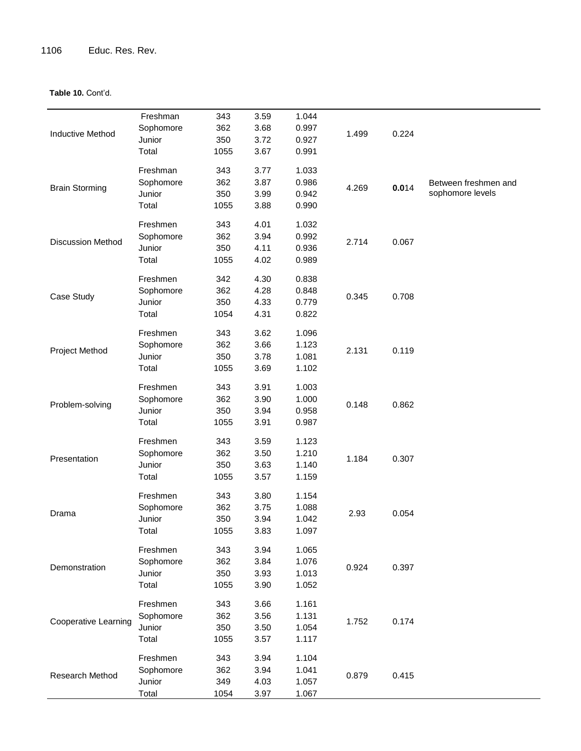# **Table 10.** Cont'd.

| 3.59<br>1.044<br>Freshman<br>343<br>3.68<br>Sophomore<br>362<br>0.997<br><b>Inductive Method</b><br>1.499<br>0.224<br>3.72<br>Junior<br>350<br>0.927<br>Total<br>1055<br>3.67<br>0.991<br>Freshman<br>3.77<br>1.033<br>343<br>362<br>3.87<br>0.986<br>Sophomore<br>Between freshmen and<br>0.014<br><b>Brain Storming</b><br>4.269<br>sophomore levels<br>Junior<br>350<br>3.99<br>0.942<br>Total<br>1055<br>3.88<br>0.990<br>Freshmen<br>343<br>4.01<br>1.032<br>Sophomore<br>362<br>3.94<br>0.992<br><b>Discussion Method</b><br>2.714<br>0.067<br>350<br>Junior<br>4.11<br>0.936<br>Total<br>1055<br>4.02<br>0.989<br>Freshmen<br>0.838<br>342<br>4.30<br>362<br>4.28<br>0.848<br>Sophomore<br>Case Study<br>0.345<br>0.708<br>350<br>Junior<br>4.33<br>0.779<br>Total<br>1054<br>4.31<br>0.822<br>Freshmen<br>343<br>3.62<br>1.096<br>362<br>3.66<br>1.123<br>Sophomore<br>Project Method<br>2.131<br>0.119<br>350<br>3.78<br>Junior<br>1.081<br>Total<br>1055<br>3.69<br>1.102<br>Freshmen<br>343<br>3.91<br>1.003<br>Sophomore<br>362<br>3.90<br>1.000<br>Problem-solving<br>0.148<br>0.862<br>350<br>Junior<br>3.94<br>0.958<br>Total<br>1055<br>3.91<br>0.987<br>Freshmen<br>343<br>3.59<br>1.123<br>3.50<br>Sophomore<br>362<br>1.210<br>Presentation<br>1.184<br>0.307<br>350<br>Junior<br>3.63<br>1.140<br>Total<br>3.57<br>1.159<br>1055<br>Freshmen<br>343<br>3.80<br>1.154<br>362<br>3.75<br>1.088<br>Sophomore<br>2.93<br>0.054<br>Drama<br>350<br>3.94<br>1.042<br>Junior<br>Total<br>1055<br>3.83<br>1.097<br>Freshmen<br>343<br>3.94<br>1.065<br>362<br>3.84<br>1.076<br>Sophomore<br>Demonstration<br>0.924<br>0.397<br>350<br>Junior<br>3.93<br>1.013<br>Total<br>3.90<br>1055<br>1.052<br>Freshmen<br>1.161<br>343<br>3.66<br>3.56<br>1.131<br>Sophomore<br>362<br><b>Cooperative Learning</b><br>1.752<br>0.174<br>Junior<br>350<br>3.50<br>1.054<br>Total<br>1055<br>3.57<br>1.117<br>1.104<br>Freshmen<br>343<br>3.94<br>362<br>3.94<br>1.041<br>Sophomore<br>Research Method<br>0.879<br>0.415<br>349<br>Junior<br>4.03<br>1.057<br>Total<br>1054<br>3.97<br>1.067 |  |  |  |  |  |  |
|---------------------------------------------------------------------------------------------------------------------------------------------------------------------------------------------------------------------------------------------------------------------------------------------------------------------------------------------------------------------------------------------------------------------------------------------------------------------------------------------------------------------------------------------------------------------------------------------------------------------------------------------------------------------------------------------------------------------------------------------------------------------------------------------------------------------------------------------------------------------------------------------------------------------------------------------------------------------------------------------------------------------------------------------------------------------------------------------------------------------------------------------------------------------------------------------------------------------------------------------------------------------------------------------------------------------------------------------------------------------------------------------------------------------------------------------------------------------------------------------------------------------------------------------------------------------------------------------------------------------------------------------------------------------------------------------------------------------------------------------------------------------------------------------------------------------------------------------------------------------------------------------------------------------------------------------------------------------------------------------------------------------------------------------------------------------------------------------|--|--|--|--|--|--|
|                                                                                                                                                                                                                                                                                                                                                                                                                                                                                                                                                                                                                                                                                                                                                                                                                                                                                                                                                                                                                                                                                                                                                                                                                                                                                                                                                                                                                                                                                                                                                                                                                                                                                                                                                                                                                                                                                                                                                                                                                                                                                             |  |  |  |  |  |  |
|                                                                                                                                                                                                                                                                                                                                                                                                                                                                                                                                                                                                                                                                                                                                                                                                                                                                                                                                                                                                                                                                                                                                                                                                                                                                                                                                                                                                                                                                                                                                                                                                                                                                                                                                                                                                                                                                                                                                                                                                                                                                                             |  |  |  |  |  |  |
|                                                                                                                                                                                                                                                                                                                                                                                                                                                                                                                                                                                                                                                                                                                                                                                                                                                                                                                                                                                                                                                                                                                                                                                                                                                                                                                                                                                                                                                                                                                                                                                                                                                                                                                                                                                                                                                                                                                                                                                                                                                                                             |  |  |  |  |  |  |
|                                                                                                                                                                                                                                                                                                                                                                                                                                                                                                                                                                                                                                                                                                                                                                                                                                                                                                                                                                                                                                                                                                                                                                                                                                                                                                                                                                                                                                                                                                                                                                                                                                                                                                                                                                                                                                                                                                                                                                                                                                                                                             |  |  |  |  |  |  |
|                                                                                                                                                                                                                                                                                                                                                                                                                                                                                                                                                                                                                                                                                                                                                                                                                                                                                                                                                                                                                                                                                                                                                                                                                                                                                                                                                                                                                                                                                                                                                                                                                                                                                                                                                                                                                                                                                                                                                                                                                                                                                             |  |  |  |  |  |  |
|                                                                                                                                                                                                                                                                                                                                                                                                                                                                                                                                                                                                                                                                                                                                                                                                                                                                                                                                                                                                                                                                                                                                                                                                                                                                                                                                                                                                                                                                                                                                                                                                                                                                                                                                                                                                                                                                                                                                                                                                                                                                                             |  |  |  |  |  |  |
|                                                                                                                                                                                                                                                                                                                                                                                                                                                                                                                                                                                                                                                                                                                                                                                                                                                                                                                                                                                                                                                                                                                                                                                                                                                                                                                                                                                                                                                                                                                                                                                                                                                                                                                                                                                                                                                                                                                                                                                                                                                                                             |  |  |  |  |  |  |
|                                                                                                                                                                                                                                                                                                                                                                                                                                                                                                                                                                                                                                                                                                                                                                                                                                                                                                                                                                                                                                                                                                                                                                                                                                                                                                                                                                                                                                                                                                                                                                                                                                                                                                                                                                                                                                                                                                                                                                                                                                                                                             |  |  |  |  |  |  |
|                                                                                                                                                                                                                                                                                                                                                                                                                                                                                                                                                                                                                                                                                                                                                                                                                                                                                                                                                                                                                                                                                                                                                                                                                                                                                                                                                                                                                                                                                                                                                                                                                                                                                                                                                                                                                                                                                                                                                                                                                                                                                             |  |  |  |  |  |  |
|                                                                                                                                                                                                                                                                                                                                                                                                                                                                                                                                                                                                                                                                                                                                                                                                                                                                                                                                                                                                                                                                                                                                                                                                                                                                                                                                                                                                                                                                                                                                                                                                                                                                                                                                                                                                                                                                                                                                                                                                                                                                                             |  |  |  |  |  |  |
|                                                                                                                                                                                                                                                                                                                                                                                                                                                                                                                                                                                                                                                                                                                                                                                                                                                                                                                                                                                                                                                                                                                                                                                                                                                                                                                                                                                                                                                                                                                                                                                                                                                                                                                                                                                                                                                                                                                                                                                                                                                                                             |  |  |  |  |  |  |
|                                                                                                                                                                                                                                                                                                                                                                                                                                                                                                                                                                                                                                                                                                                                                                                                                                                                                                                                                                                                                                                                                                                                                                                                                                                                                                                                                                                                                                                                                                                                                                                                                                                                                                                                                                                                                                                                                                                                                                                                                                                                                             |  |  |  |  |  |  |
|                                                                                                                                                                                                                                                                                                                                                                                                                                                                                                                                                                                                                                                                                                                                                                                                                                                                                                                                                                                                                                                                                                                                                                                                                                                                                                                                                                                                                                                                                                                                                                                                                                                                                                                                                                                                                                                                                                                                                                                                                                                                                             |  |  |  |  |  |  |
|                                                                                                                                                                                                                                                                                                                                                                                                                                                                                                                                                                                                                                                                                                                                                                                                                                                                                                                                                                                                                                                                                                                                                                                                                                                                                                                                                                                                                                                                                                                                                                                                                                                                                                                                                                                                                                                                                                                                                                                                                                                                                             |  |  |  |  |  |  |
|                                                                                                                                                                                                                                                                                                                                                                                                                                                                                                                                                                                                                                                                                                                                                                                                                                                                                                                                                                                                                                                                                                                                                                                                                                                                                                                                                                                                                                                                                                                                                                                                                                                                                                                                                                                                                                                                                                                                                                                                                                                                                             |  |  |  |  |  |  |
|                                                                                                                                                                                                                                                                                                                                                                                                                                                                                                                                                                                                                                                                                                                                                                                                                                                                                                                                                                                                                                                                                                                                                                                                                                                                                                                                                                                                                                                                                                                                                                                                                                                                                                                                                                                                                                                                                                                                                                                                                                                                                             |  |  |  |  |  |  |
|                                                                                                                                                                                                                                                                                                                                                                                                                                                                                                                                                                                                                                                                                                                                                                                                                                                                                                                                                                                                                                                                                                                                                                                                                                                                                                                                                                                                                                                                                                                                                                                                                                                                                                                                                                                                                                                                                                                                                                                                                                                                                             |  |  |  |  |  |  |
|                                                                                                                                                                                                                                                                                                                                                                                                                                                                                                                                                                                                                                                                                                                                                                                                                                                                                                                                                                                                                                                                                                                                                                                                                                                                                                                                                                                                                                                                                                                                                                                                                                                                                                                                                                                                                                                                                                                                                                                                                                                                                             |  |  |  |  |  |  |
|                                                                                                                                                                                                                                                                                                                                                                                                                                                                                                                                                                                                                                                                                                                                                                                                                                                                                                                                                                                                                                                                                                                                                                                                                                                                                                                                                                                                                                                                                                                                                                                                                                                                                                                                                                                                                                                                                                                                                                                                                                                                                             |  |  |  |  |  |  |
|                                                                                                                                                                                                                                                                                                                                                                                                                                                                                                                                                                                                                                                                                                                                                                                                                                                                                                                                                                                                                                                                                                                                                                                                                                                                                                                                                                                                                                                                                                                                                                                                                                                                                                                                                                                                                                                                                                                                                                                                                                                                                             |  |  |  |  |  |  |
|                                                                                                                                                                                                                                                                                                                                                                                                                                                                                                                                                                                                                                                                                                                                                                                                                                                                                                                                                                                                                                                                                                                                                                                                                                                                                                                                                                                                                                                                                                                                                                                                                                                                                                                                                                                                                                                                                                                                                                                                                                                                                             |  |  |  |  |  |  |
|                                                                                                                                                                                                                                                                                                                                                                                                                                                                                                                                                                                                                                                                                                                                                                                                                                                                                                                                                                                                                                                                                                                                                                                                                                                                                                                                                                                                                                                                                                                                                                                                                                                                                                                                                                                                                                                                                                                                                                                                                                                                                             |  |  |  |  |  |  |
|                                                                                                                                                                                                                                                                                                                                                                                                                                                                                                                                                                                                                                                                                                                                                                                                                                                                                                                                                                                                                                                                                                                                                                                                                                                                                                                                                                                                                                                                                                                                                                                                                                                                                                                                                                                                                                                                                                                                                                                                                                                                                             |  |  |  |  |  |  |
|                                                                                                                                                                                                                                                                                                                                                                                                                                                                                                                                                                                                                                                                                                                                                                                                                                                                                                                                                                                                                                                                                                                                                                                                                                                                                                                                                                                                                                                                                                                                                                                                                                                                                                                                                                                                                                                                                                                                                                                                                                                                                             |  |  |  |  |  |  |
|                                                                                                                                                                                                                                                                                                                                                                                                                                                                                                                                                                                                                                                                                                                                                                                                                                                                                                                                                                                                                                                                                                                                                                                                                                                                                                                                                                                                                                                                                                                                                                                                                                                                                                                                                                                                                                                                                                                                                                                                                                                                                             |  |  |  |  |  |  |
|                                                                                                                                                                                                                                                                                                                                                                                                                                                                                                                                                                                                                                                                                                                                                                                                                                                                                                                                                                                                                                                                                                                                                                                                                                                                                                                                                                                                                                                                                                                                                                                                                                                                                                                                                                                                                                                                                                                                                                                                                                                                                             |  |  |  |  |  |  |
|                                                                                                                                                                                                                                                                                                                                                                                                                                                                                                                                                                                                                                                                                                                                                                                                                                                                                                                                                                                                                                                                                                                                                                                                                                                                                                                                                                                                                                                                                                                                                                                                                                                                                                                                                                                                                                                                                                                                                                                                                                                                                             |  |  |  |  |  |  |
|                                                                                                                                                                                                                                                                                                                                                                                                                                                                                                                                                                                                                                                                                                                                                                                                                                                                                                                                                                                                                                                                                                                                                                                                                                                                                                                                                                                                                                                                                                                                                                                                                                                                                                                                                                                                                                                                                                                                                                                                                                                                                             |  |  |  |  |  |  |
|                                                                                                                                                                                                                                                                                                                                                                                                                                                                                                                                                                                                                                                                                                                                                                                                                                                                                                                                                                                                                                                                                                                                                                                                                                                                                                                                                                                                                                                                                                                                                                                                                                                                                                                                                                                                                                                                                                                                                                                                                                                                                             |  |  |  |  |  |  |
|                                                                                                                                                                                                                                                                                                                                                                                                                                                                                                                                                                                                                                                                                                                                                                                                                                                                                                                                                                                                                                                                                                                                                                                                                                                                                                                                                                                                                                                                                                                                                                                                                                                                                                                                                                                                                                                                                                                                                                                                                                                                                             |  |  |  |  |  |  |
|                                                                                                                                                                                                                                                                                                                                                                                                                                                                                                                                                                                                                                                                                                                                                                                                                                                                                                                                                                                                                                                                                                                                                                                                                                                                                                                                                                                                                                                                                                                                                                                                                                                                                                                                                                                                                                                                                                                                                                                                                                                                                             |  |  |  |  |  |  |
|                                                                                                                                                                                                                                                                                                                                                                                                                                                                                                                                                                                                                                                                                                                                                                                                                                                                                                                                                                                                                                                                                                                                                                                                                                                                                                                                                                                                                                                                                                                                                                                                                                                                                                                                                                                                                                                                                                                                                                                                                                                                                             |  |  |  |  |  |  |
|                                                                                                                                                                                                                                                                                                                                                                                                                                                                                                                                                                                                                                                                                                                                                                                                                                                                                                                                                                                                                                                                                                                                                                                                                                                                                                                                                                                                                                                                                                                                                                                                                                                                                                                                                                                                                                                                                                                                                                                                                                                                                             |  |  |  |  |  |  |
|                                                                                                                                                                                                                                                                                                                                                                                                                                                                                                                                                                                                                                                                                                                                                                                                                                                                                                                                                                                                                                                                                                                                                                                                                                                                                                                                                                                                                                                                                                                                                                                                                                                                                                                                                                                                                                                                                                                                                                                                                                                                                             |  |  |  |  |  |  |
|                                                                                                                                                                                                                                                                                                                                                                                                                                                                                                                                                                                                                                                                                                                                                                                                                                                                                                                                                                                                                                                                                                                                                                                                                                                                                                                                                                                                                                                                                                                                                                                                                                                                                                                                                                                                                                                                                                                                                                                                                                                                                             |  |  |  |  |  |  |
|                                                                                                                                                                                                                                                                                                                                                                                                                                                                                                                                                                                                                                                                                                                                                                                                                                                                                                                                                                                                                                                                                                                                                                                                                                                                                                                                                                                                                                                                                                                                                                                                                                                                                                                                                                                                                                                                                                                                                                                                                                                                                             |  |  |  |  |  |  |
|                                                                                                                                                                                                                                                                                                                                                                                                                                                                                                                                                                                                                                                                                                                                                                                                                                                                                                                                                                                                                                                                                                                                                                                                                                                                                                                                                                                                                                                                                                                                                                                                                                                                                                                                                                                                                                                                                                                                                                                                                                                                                             |  |  |  |  |  |  |
|                                                                                                                                                                                                                                                                                                                                                                                                                                                                                                                                                                                                                                                                                                                                                                                                                                                                                                                                                                                                                                                                                                                                                                                                                                                                                                                                                                                                                                                                                                                                                                                                                                                                                                                                                                                                                                                                                                                                                                                                                                                                                             |  |  |  |  |  |  |
|                                                                                                                                                                                                                                                                                                                                                                                                                                                                                                                                                                                                                                                                                                                                                                                                                                                                                                                                                                                                                                                                                                                                                                                                                                                                                                                                                                                                                                                                                                                                                                                                                                                                                                                                                                                                                                                                                                                                                                                                                                                                                             |  |  |  |  |  |  |
|                                                                                                                                                                                                                                                                                                                                                                                                                                                                                                                                                                                                                                                                                                                                                                                                                                                                                                                                                                                                                                                                                                                                                                                                                                                                                                                                                                                                                                                                                                                                                                                                                                                                                                                                                                                                                                                                                                                                                                                                                                                                                             |  |  |  |  |  |  |
|                                                                                                                                                                                                                                                                                                                                                                                                                                                                                                                                                                                                                                                                                                                                                                                                                                                                                                                                                                                                                                                                                                                                                                                                                                                                                                                                                                                                                                                                                                                                                                                                                                                                                                                                                                                                                                                                                                                                                                                                                                                                                             |  |  |  |  |  |  |
|                                                                                                                                                                                                                                                                                                                                                                                                                                                                                                                                                                                                                                                                                                                                                                                                                                                                                                                                                                                                                                                                                                                                                                                                                                                                                                                                                                                                                                                                                                                                                                                                                                                                                                                                                                                                                                                                                                                                                                                                                                                                                             |  |  |  |  |  |  |
|                                                                                                                                                                                                                                                                                                                                                                                                                                                                                                                                                                                                                                                                                                                                                                                                                                                                                                                                                                                                                                                                                                                                                                                                                                                                                                                                                                                                                                                                                                                                                                                                                                                                                                                                                                                                                                                                                                                                                                                                                                                                                             |  |  |  |  |  |  |
|                                                                                                                                                                                                                                                                                                                                                                                                                                                                                                                                                                                                                                                                                                                                                                                                                                                                                                                                                                                                                                                                                                                                                                                                                                                                                                                                                                                                                                                                                                                                                                                                                                                                                                                                                                                                                                                                                                                                                                                                                                                                                             |  |  |  |  |  |  |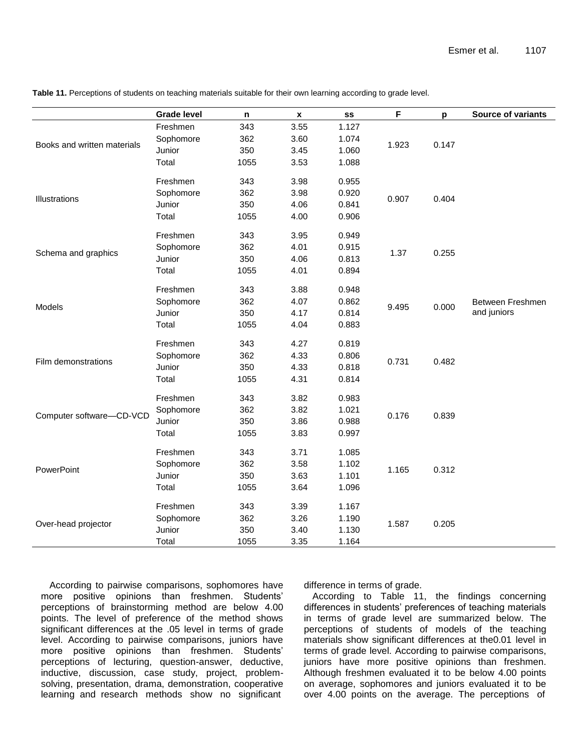|                             | <b>Grade level</b> | n    | $\pmb{\mathsf{x}}$ | SS    | F              | p     | <b>Source of variants</b>       |
|-----------------------------|--------------------|------|--------------------|-------|----------------|-------|---------------------------------|
|                             | Freshmen           | 343  | 3.55               | 1.127 |                |       |                                 |
| Books and written materials | Sophomore          | 362  | 3.60               | 1.074 | 1.923          | 0.147 |                                 |
|                             | Junior             | 350  | 3.45               | 1.060 |                |       |                                 |
|                             | Total              | 1055 | 3.53               | 1.088 |                |       |                                 |
|                             | Freshmen           | 343  | 3.98               | 0.955 |                |       |                                 |
|                             | Sophomore          | 362  | 3.98               | 0.920 | 0.907          | 0.404 |                                 |
| Illustrations               | Junior             | 350  | 4.06               | 0.841 |                |       |                                 |
|                             | Total              | 1055 | 4.00               | 0.906 |                |       |                                 |
|                             | Freshmen           | 343  | 3.95               | 0.949 |                |       |                                 |
|                             | Sophomore          | 362  | 4.01               | 0.915 |                |       |                                 |
| Schema and graphics         | Junior             | 350  | 4.06               | 0.813 | 1.37           | 0.255 |                                 |
|                             | Total              | 1055 | 4.01               | 0.894 |                |       |                                 |
|                             | Freshmen           | 343  | 3.88               | 0.948 |                |       |                                 |
|                             | Sophomore          | 362  | 4.07               | 0.862 |                |       | Between Freshmen<br>and juniors |
| Models                      | Junior             | 350  | 4.17               | 0.814 | 9.495          | 0.000 |                                 |
|                             | Total              | 1055 | 4.04               | 0.883 |                |       |                                 |
|                             | Freshmen           | 343  | 4.27               | 0.819 |                |       |                                 |
|                             | Sophomore          | 362  | 4.33               | 0.806 | 0.731          | 0.482 |                                 |
| Film demonstrations         | Junior             | 350  | 4.33               | 0.818 |                |       |                                 |
|                             | Total              | 1055 | 4.31               | 0.814 |                |       |                                 |
|                             | Freshmen           | 343  | 3.82               | 0.983 | 0.176<br>0.839 |       |                                 |
|                             | Sophomore          | 362  | 3.82               | 1.021 |                |       |                                 |
| Computer software-CD-VCD    | Junior             | 350  | 3.86               | 0.988 |                |       |                                 |
|                             | Total              | 1055 | 3.83               | 0.997 |                |       |                                 |
|                             | Freshmen           | 343  | 3.71               | 1.085 |                |       |                                 |
|                             | Sophomore          | 362  | 3.58               | 1.102 | 1.165          |       |                                 |
| PowerPoint                  | Junior             | 350  | 3.63               | 1.101 |                | 0.312 |                                 |
|                             | Total              | 1055 | 3.64               | 1.096 |                |       |                                 |
|                             | Freshmen           | 343  | 3.39               | 1.167 |                |       |                                 |
|                             | Sophomore          | 362  | 3.26               | 1.190 |                |       |                                 |
| Over-head projector         | Junior             | 350  | 3.40               | 1.130 | 1.587<br>0.205 |       |                                 |
|                             | Total              | 1055 | 3.35               | 1.164 |                |       |                                 |

**Table 11.** Perceptions of students on teaching materials suitable for their own learning according to grade level.

According to pairwise comparisons, sophomores have more positive opinions than freshmen. Students' perceptions of brainstorming method are below 4.00 points. The level of preference of the method shows significant differences at the .05 level in terms of grade level. According to pairwise comparisons, juniors have more positive opinions than freshmen. Students' perceptions of lecturing, question-answer, deductive, inductive, discussion, case study, project, problemsolving, presentation, drama, demonstration, cooperative learning and research methods show no significant

difference in terms of grade.

According to Table 11, the findings concerning differences in students' preferences of teaching materials in terms of grade level are summarized below. The perceptions of students of models of the teaching materials show significant differences at the0.01 level in terms of grade level. According to pairwise comparisons, juniors have more positive opinions than freshmen. Although freshmen evaluated it to be below 4.00 points on average, sophomores and juniors evaluated it to be over 4.00 points on the average. The perceptions of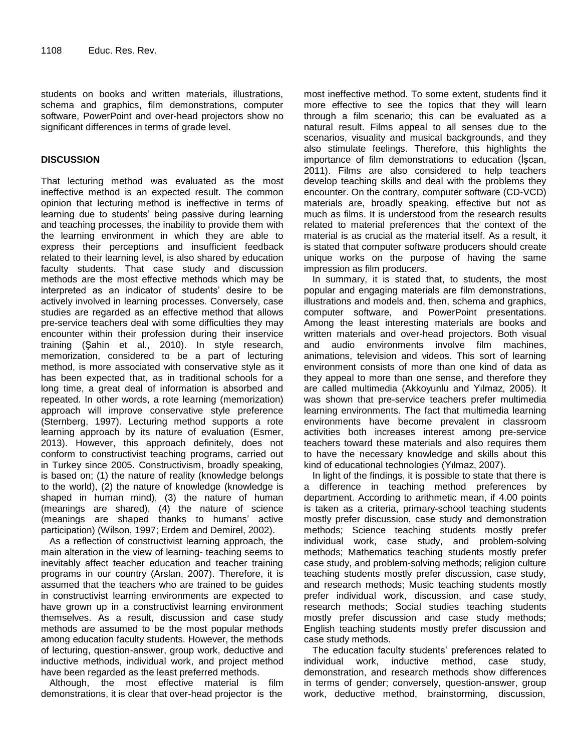students on books and written materials, illustrations, schema and graphics, film demonstrations, computer software, PowerPoint and over-head projectors show no significant differences in terms of grade level.

# **DISCUSSION**

That lecturing method was evaluated as the most ineffective method is an expected result. The common opinion that lecturing method is ineffective in terms of learning due to students' being passive during learning and teaching processes, the inability to provide them with the learning environment in which they are able to express their perceptions and insufficient feedback related to their learning level, is also shared by education faculty students. That case study and discussion methods are the most effective methods which may be interpreted as an indicator of students' desire to be actively involved in learning processes. Conversely, case studies are regarded as an effective method that allows pre-service teachers deal with some difficulties they may encounter within their profession during their inservice training (Şahin et al., 2010). In style research, memorization, considered to be a part of lecturing method, is more associated with conservative style as it has been expected that, as in traditional schools for a long time, a great deal of information is absorbed and repeated. In other words, a rote learning (memorization) approach will improve conservative style preference (Sternberg, 1997). Lecturing method supports a rote learning approach by its nature of evaluation (Esmer, 2013). However, this approach definitely, does not conform to constructivist teaching programs, carried out in Turkey since 2005. Constructivism, broadly speaking, is based on; (1) the nature of reality (knowledge belongs to the world), (2) the nature of knowledge (knowledge is shaped in human mind), (3) the nature of human (meanings are shared), (4) the nature of science (meanings are shaped thanks to humans' active participation) (Wilson, 1997; Erdem and Demirel, 2002).

As a reflection of constructivist learning approach, the main alteration in the view of learning- teaching seems to inevitably affect teacher education and teacher training programs in our country (Arslan, 2007). Therefore, it is assumed that the teachers who are trained to be guides in constructivist learning environments are expected to have grown up in a constructivist learning environment themselves. As a result, discussion and case study methods are assumed to be the most popular methods among education faculty students. However, the methods of lecturing, question-answer, group work, deductive and inductive methods, individual work, and project method have been regarded as the least preferred methods.

Although, the most effective material is film demonstrations, it is clear that over-head projector is the most ineffective method. To some extent, students find it more effective to see the topics that they will learn through a film scenario; this can be evaluated as a natural result. Films appeal to all senses due to the scenarios, visuality and musical backgrounds, and they also stimulate feelings. Therefore, this highlights the importance of film demonstrations to education (İşcan, 2011). Films are also considered to help teachers develop teaching skills and deal with the problems they encounter. On the contrary, computer software (CD-VCD) materials are, broadly speaking, effective but not as much as films. It is understood from the research results related to material preferences that the context of the material is as crucial as the material itself. As a result, it is stated that computer software producers should create unique works on the purpose of having the same impression as film producers.

In summary, it is stated that, to students, the most popular and engaging materials are film demonstrations, illustrations and models and, then, schema and graphics, computer software, and PowerPoint presentations. Among the least interesting materials are books and written materials and over-head projectors. Both visual and audio environments involve film machines, animations, television and videos. This sort of learning environment consists of more than one kind of data as they appeal to more than one sense, and therefore they are called multimedia (Akkoyunlu and Yılmaz, 2005). It was shown that pre-service teachers prefer multimedia learning environments. The fact that multimedia learning environments have become prevalent in classroom activities both increases interest among pre-service teachers toward these materials and also requires them to have the necessary knowledge and skills about this kind of educational technologies (Yılmaz, 2007).

In light of the findings, it is possible to state that there is a difference in teaching method preferences by department. According to arithmetic mean, if 4.00 points is taken as a criteria, primary-school teaching students mostly prefer discussion, case study and demonstration methods; Science teaching students mostly prefer individual work, case study, and problem-solving methods; Mathematics teaching students mostly prefer case study, and problem-solving methods; religion culture teaching students mostly prefer discussion, case study, and research methods; Music teaching students mostly prefer individual work, discussion, and case study, research methods; Social studies teaching students mostly prefer discussion and case study methods; English teaching students mostly prefer discussion and case study methods.

The education faculty students' preferences related to individual work, inductive method, case study, demonstration, and research methods show differences in terms of gender; conversely, question-answer, group work, deductive method, brainstorming, discussion,